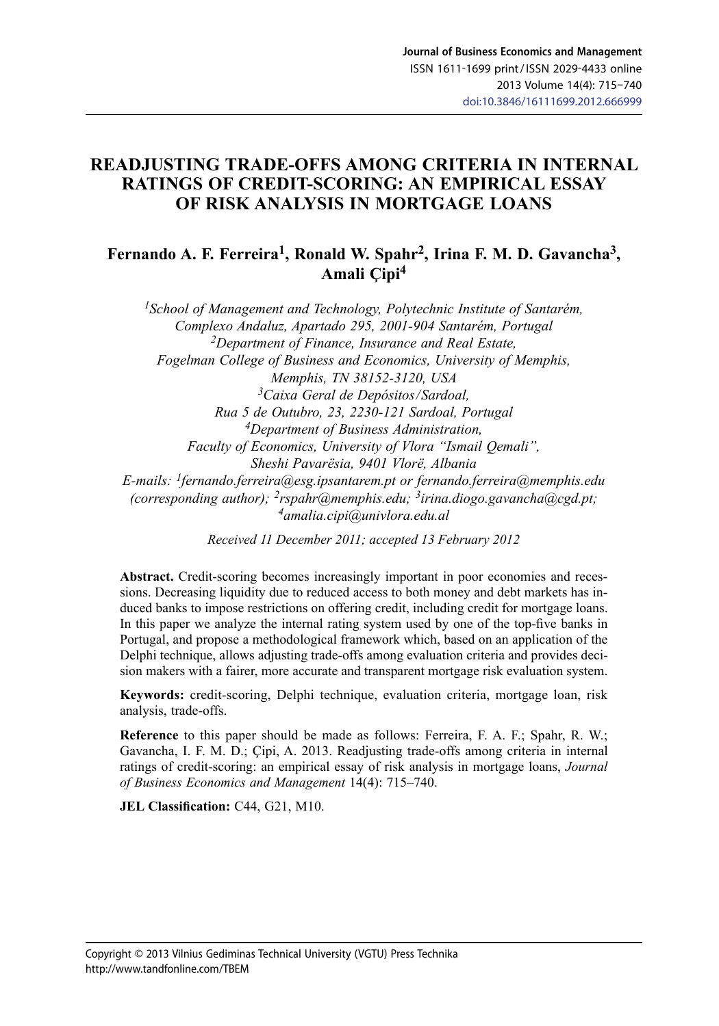## **READJUSTING TRADE-OFFS AMONG CRITERIA IN INTERNAL RATINGS OF CREDIT-SCORING: AN EMPIRICAL ESSAY OF RISK ANALYSIS IN MORTGAGE LOANS**

### Fernando A. F. Ferreira<sup>1</sup>, Ronald W. Spahr<sup>2</sup>, Irina F. M. D. Gavancha<sup>3</sup>, **Amali Çipi4**

*1School of Management and Technology, Polytechnic Institute of Santarém, Complexo Andaluz, Apartado 295, 2001-904 Santarém, Portugal 2Department of Finance, Insurance and Real Estate, Fogelman College of Business and Economics, University of Memphis, Memphis, TN 38152-3120, USA <sup>3</sup>Caixa Geral de Depósitos / Sardoal, Rua 5 de Outubro, 23, 2230-121 Sardoal, Portugal 4Department of Business Administration, Faculty of Economics, University of Vlora "Ismail Qemali", Sheshi Pavarësia, 9401 Vlorë, Albania E-mails: [1fernando.ferreira@esg.ipsantarem.pt](mailto:fernando.ferreira@esg.ipsantarem.pt) or [fernando.ferreira@memphis.edu](mailto:fernando.ferreira@memphis.edu) (corresponding author); [2rspahr@memphis.edu](mailto:rspahr@memphis.edu); 3[irina.diogo.gavancha@cgd.pt;](mailto:irina.gavancha@cgd.pt) 4[amalia.cipi@univlora.edu.al](mailto:amalia.cipi@univlora.edu.al)*

*Received 11 December 2011; accepted 13 February 2012*

Abstract. Credit-scoring becomes increasingly important in poor economies and recessions. Decreasing liquidity due to reduced access to both money and debt markets has induced banks to impose restrictions on offering credit, including credit for mortgage loans. In this paper we analyze the internal rating system used by one of the top-five banks in Portugal, and propose a methodological framework which, based on an application of the Delphi technique, allows adjusting trade-offs among evaluation criteria and provides decision makers with a fairer, more accurate and transparent mortgage risk evaluation system.

**Keywords:** credit-scoring, Delphi technique, evaluation criteria, mortgage loan, risk analysis, trade-offs.

**Reference** to this paper should be made as follows: Ferreira, F. A. F.; Spahr, R. W.; Gavancha, I. F. M. D.; Çipi, A. 2013. Readjusting trade-offs among criteria in internal ratings of credit-scoring: an empirical essay of risk analysis in mortgage loans, *Journal of Business Economics and Management* 14(4): 715–740.

**JEL Classification:** C44, G21, M10.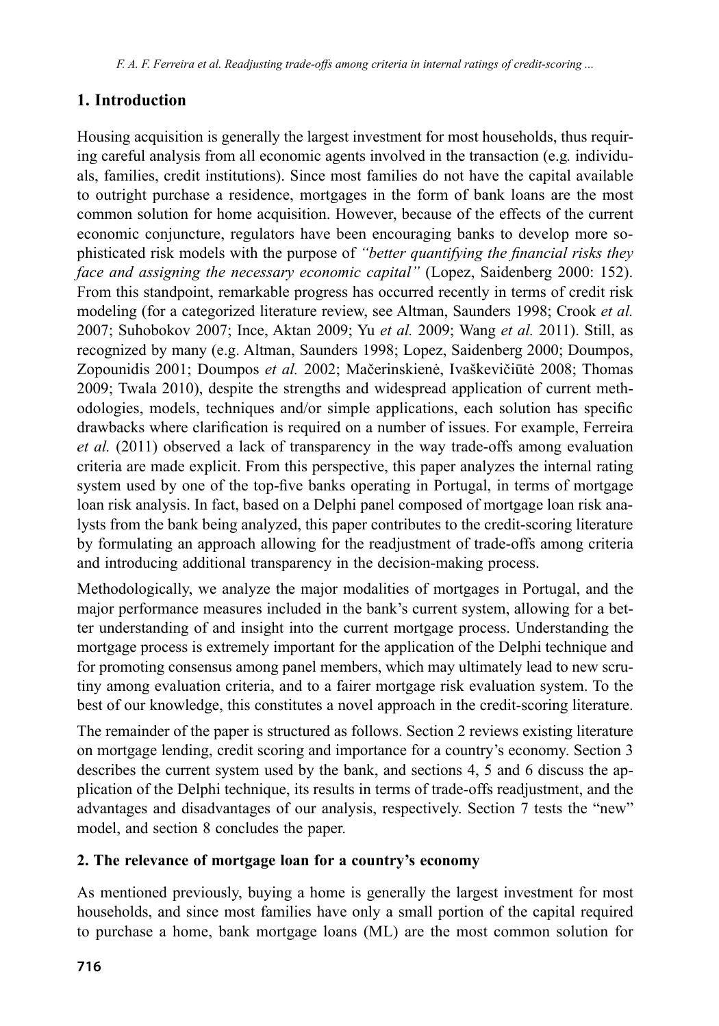# **1. Introduction**

Housing acquisition is generally the largest investment for most households, thus requiring careful analysis from all economic agents involved in the transaction (e.g*.* individuals, families, credit institutions). Since most families do not have the capital available to outright purchase a residence, mortgages in the form of bank loans are the most common solution for home acquisition. However, because of the effects of the current economic conjuncture, regulators have been encouraging banks to develop more sophisticated risk models with the purpose of *"better quantifying the financial risks they face and assigning the necessary economic capital"* (Lopez, Saidenberg 2000: 152). From this standpoint, remarkable progress has occurred recently in terms of credit risk modeling (for a categorized literature review, see Altman, Saunders 1998; Crook *et al.* 2007; Suhobokov 2007; Ince, Aktan 2009; Yu *et al.* 2009; Wang *et al.* 2011). Still, as recognized by many (e.g. Altman, Saunders 1998; Lopez, Saidenberg 2000; Doumpos, Zopounidis 2001; Doumpos *et al.* 2002; Mačerinskienė, Ivaškevičiūtė 2008; Thomas 2009; Twala 2010), despite the strengths and widespread application of current methodologies, models, techniques and/or simple applications, each solution has specific drawbacks where clarification is required on a number of issues. For example, Ferreira *et al.* (2011) observed a lack of transparency in the way trade-offs among evaluation criteria are made explicit. From this perspective, this paper analyzes the internal rating system used by one of the top-five banks operating in Portugal, in terms of mortgage loan risk analysis. In fact, based on a Delphi panel composed of mortgage loan risk analysts from the bank being analyzed, this paper contributes to the credit-scoring literature by formulating an approach allowing for the readjustment of trade-offs among criteria and introducing additional transparency in the decision-making process.

Methodologically, we analyze the major modalities of mortgages in Portugal, and the major performance measures included in the bank's current system, allowing for a better understanding of and insight into the current mortgage process. Understanding the mortgage process is extremely important for the application of the Delphi technique and for promoting consensus among panel members, which may ultimately lead to new scrutiny among evaluation criteria, and to a fairer mortgage risk evaluation system. To the best of our knowledge, this constitutes a novel approach in the credit-scoring literature.

The remainder of the paper is structured as follows. Section 2 reviews existing literature on mortgage lending, credit scoring and importance for a country's economy. Section 3 describes the current system used by the bank, and sections 4, 5 and 6 discuss the application of the Delphi technique, its results in terms of trade-offs readjustment, and the advantages and disadvantages of our analysis, respectively. Section 7 tests the "new" model, and section 8 concludes the paper.

### **2. The relevance of mortgage loan for a country's economy**

As mentioned previously, buying a home is generally the largest investment for most households, and since most families have only a small portion of the capital required to purchase a home, bank mortgage loans (ML) are the most common solution for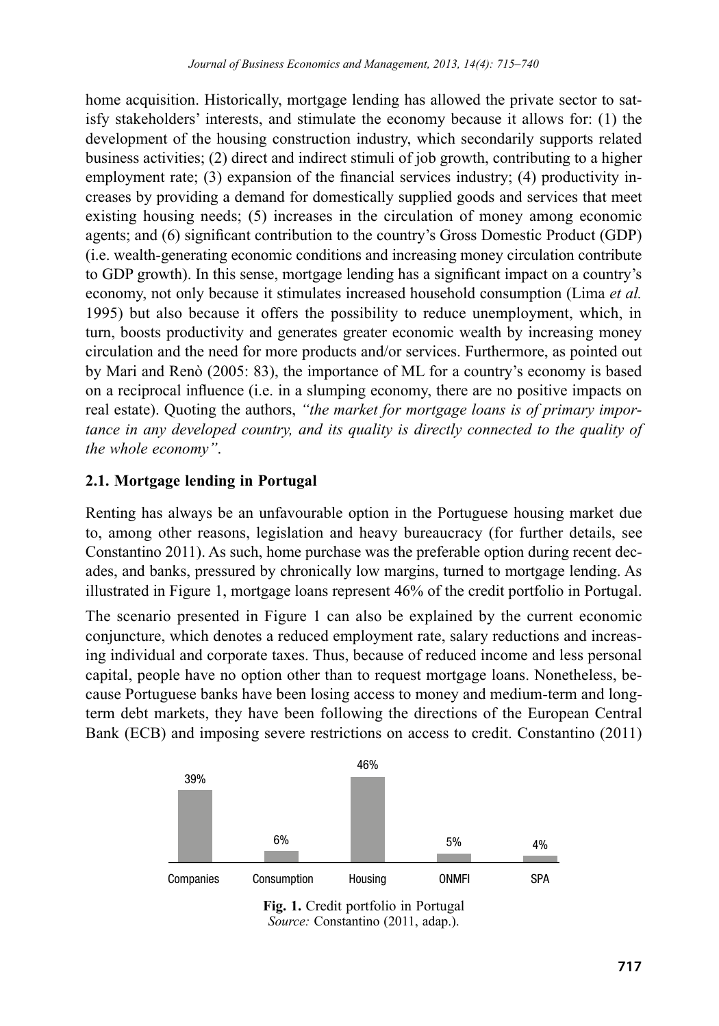home acquisition. Historically, mortgage lending has allowed the private sector to satisfy stakeholders' interests, and stimulate the economy because it allows for: (1) the development of the housing construction industry, which secondarily supports related business activities; (2) direct and indirect stimuli of job growth, contributing to a higher employment rate; (3) expansion of the financial services industry; (4) productivity increases by providing a demand for domestically supplied goods and services that meet existing housing needs; (5) increases in the circulation of money among economic agents; and (6) significant contribution to the country's Gross Domestic Product (GDP) (i.e. wealth-generating economic conditions and increasing money circulation contribute to GDP growth). In this sense, mortgage lending has a significant impact on a country's economy, not only because it stimulates increased household consumption (Lima *et al.* 1995) but also because it offers the possibility to reduce unemployment, which, in turn, boosts productivity and generates greater economic wealth by increasing money circulation and the need for more products and/or services. Furthermore, as pointed out by Mari and Renò (2005: 83), the importance of ML for a country's economy is based on a reciprocal influence (i.e. in a slumping economy, there are no positive impacts on real estate). Quoting the authors, *"the market for mortgage loans is of primary importance in any developed country, and its quality is directly connected to the quality of the whole economy"*.

### **2.1. Mortgage lending in Portugal**

Renting has always be an unfavourable option in the Portuguese housing market due to, among other reasons, legislation and heavy bureaucracy (for further details, see Constantino 2011). As such, home purchase was the preferable option during recent decades, and banks, pressured by chronically low margins, turned to mortgage lending. As illustrated in Figure 1, mortgage loans represent 46% of the credit portfolio in Portugal.

The scenario presented in Figure 1 can also be explained by the current economic conjuncture, which denotes a reduced employment rate, salary reductions and increasing individual and corporate taxes. Thus, because of reduced income and less personal capital, people have no option other than to request mortgage loans. Nonetheless, because Portuguese banks have been losing access to money and medium-term and longterm debt markets, they have been following the directions of the European Central Bank (ECB) and imposing severe restrictions on access to credit. Constantino (2011)



**Fig. 1.** Credit portfolio in Portugal *Source:* Constantino (2011, adap.).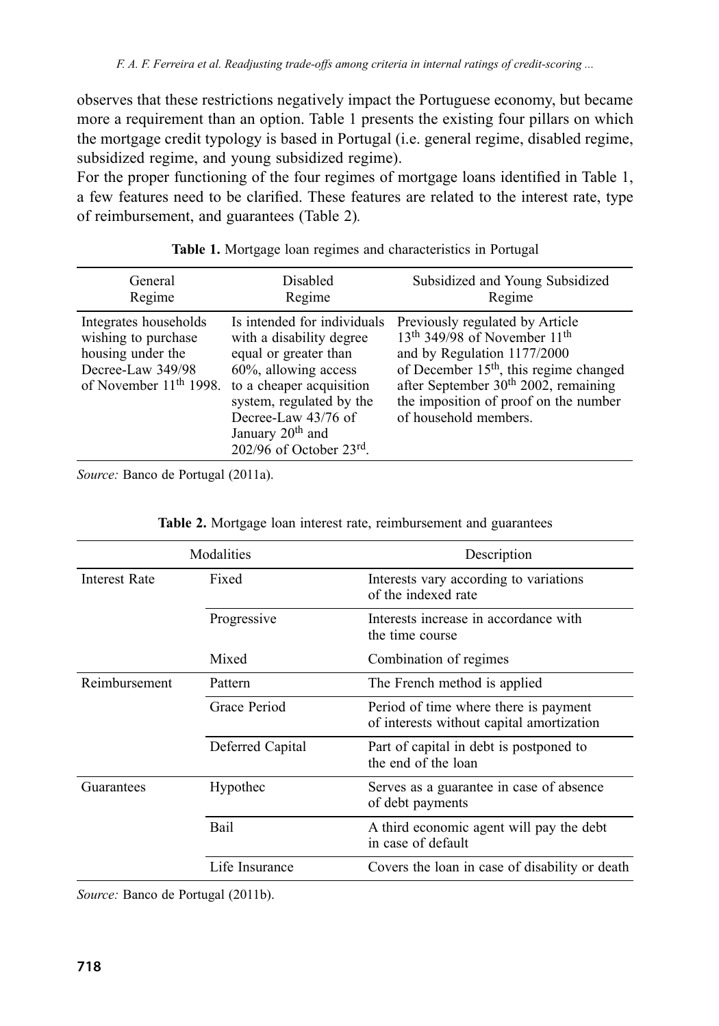observes that these restrictions negatively impact the Portuguese economy, but became more a requirement than an option. Table 1 presents the existing four pillars on which the mortgage credit typology is based in Portugal (i.e. general regime, disabled regime, subsidized regime, and young subsidized regime).

For the proper functioning of the four regimes of mortgage loans identified in Table 1, a few features need to be clarified. These features are related to the interest rate, type of reimbursement, and guarantees (Table 2)*.*

| General                                                                                                                      | Disabled                                                                                                                                                                                                                                                | Subsidized and Young Subsidized                                                                                                                                                                                                                                                                    |
|------------------------------------------------------------------------------------------------------------------------------|---------------------------------------------------------------------------------------------------------------------------------------------------------------------------------------------------------------------------------------------------------|----------------------------------------------------------------------------------------------------------------------------------------------------------------------------------------------------------------------------------------------------------------------------------------------------|
| Regime                                                                                                                       | Regime                                                                                                                                                                                                                                                  | Regime                                                                                                                                                                                                                                                                                             |
| Integrates households<br>wishing to purchase<br>housing under the<br>Decree-Law 349/98<br>of November 11 <sup>th</sup> 1998. | Is intended for individuals<br>with a disability degree<br>equal or greater than<br>60%, allowing access<br>to a cheaper acquisition<br>system, regulated by the<br>Decree-Law 43/76 of<br>January 20 <sup>th</sup> and<br>$202/96$ of October $23rd$ . | Previously regulated by Article<br>13 <sup>th</sup> 349/98 of November 11 <sup>th</sup><br>and by Regulation 1177/2000<br>of December 15 <sup>th</sup> , this regime changed<br>after September 30 <sup>th</sup> 2002, remaining<br>the imposition of proof on the number<br>of household members. |

|  |  |  | Table 1. Mortgage loan regimes and characteristics in Portugal |  |
|--|--|--|----------------------------------------------------------------|--|
|  |  |  |                                                                |  |

*Source:* Banco de Portugal (2011a).

|               | Modalities       | Description                                                                        |  |  |
|---------------|------------------|------------------------------------------------------------------------------------|--|--|
| Interest Rate | Fixed            | Interests vary according to variations<br>of the indexed rate                      |  |  |
|               | Progressive      | Interests increase in accordance with<br>the time course                           |  |  |
|               | Mixed            | Combination of regimes                                                             |  |  |
| Reimbursement | Pattern          | The French method is applied                                                       |  |  |
|               | Grace Period     | Period of time where there is payment<br>of interests without capital amortization |  |  |
|               | Deferred Capital | Part of capital in debt is postponed to<br>the end of the loan                     |  |  |
| Guarantees    | Hypothec         | Serves as a guarantee in case of absence<br>of debt payments                       |  |  |
|               | Bail             | A third economic agent will pay the debt<br>in case of default                     |  |  |
|               | Life Insurance   | Covers the loan in case of disability or death                                     |  |  |

|  |  |  | Table 2. Mortgage loan interest rate, reimbursement and guarantees |
|--|--|--|--------------------------------------------------------------------|
|--|--|--|--------------------------------------------------------------------|

*Source:* Banco de Portugal (2011b).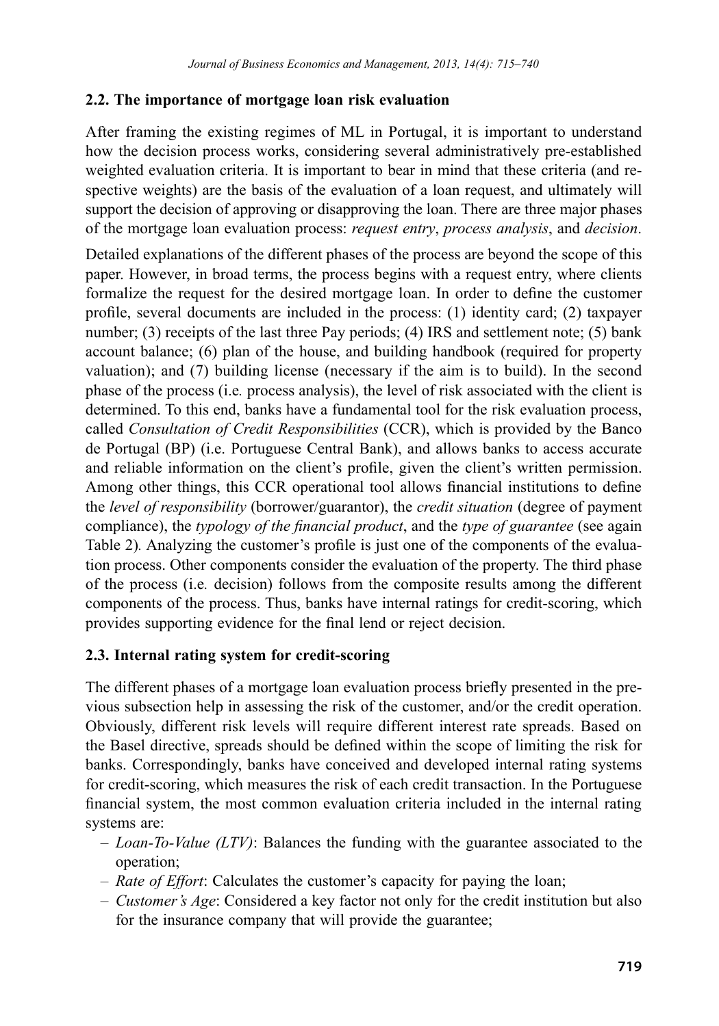### **2.2. The importance of mortgage loan risk evaluation**

After framing the existing regimes of ML in Portugal, it is important to understand how the decision process works, considering several administratively pre-established weighted evaluation criteria. It is important to bear in mind that these criteria (and respective weights) are the basis of the evaluation of a loan request, and ultimately will support the decision of approving or disapproving the loan. There are three major phases of the mortgage loan evaluation process: *request entry*, *process analysis*, and *decision*.

Detailed explanations of the different phases of the process are beyond the scope of this paper. However, in broad terms, the process begins with a request entry, where clients formalize the request for the desired mortgage loan. In order to define the customer profile, several documents are included in the process: (1) identity card; (2) taxpayer number; (3) receipts of the last three Pay periods; (4) IRS and settlement note; (5) bank account balance; (6) plan of the house, and building handbook (required for property valuation); and (7) building license (necessary if the aim is to build). In the second phase of the process (i.e*.* process analysis), the level of risk associated with the client is determined. To this end, banks have a fundamental tool for the risk evaluation process, called *Consultation of Credit Responsibilities* (CCR), which is provided by the Banco de Portugal (BP) (i.e. Portuguese Central Bank), and allows banks to access accurate and reliable information on the client's profile, given the client's written permission. Among other things, this CCR operational tool allows financial institutions to define the *level of responsibility* (borrower/guarantor), the *credit situation* (degree of payment compliance), the *typology of the financial product*, and the *type of guarantee* (see again Table 2)*.* Analyzing the customer's profile is just one of the components of the evaluation process. Other components consider the evaluation of the property. The third phase of the process (i.e*.* decision) follows from the composite results among the different components of the process. Thus, banks have internal ratings for credit-scoring, which provides supporting evidence for the final lend or reject decision.

### **2.3. Internal rating system for credit-scoring**

The different phases of a mortgage loan evaluation process briefly presented in the previous subsection help in assessing the risk of the customer, and/or the credit operation. Obviously, different risk levels will require different interest rate spreads. Based on the Basel directive, spreads should be defined within the scope of limiting the risk for banks. Correspondingly, banks have conceived and developed internal rating systems for credit-scoring, which measures the risk of each credit transaction. In the Portuguese financial system, the most common evaluation criteria included in the internal rating systems are:

- *– Loan-To-Value (LTV)*: Balances the funding with the guarantee associated to the operation;
- *– Rate of Effort*: Calculates the customer's capacity for paying the loan;
- *– Customer's Age*: Considered a key factor not only for the credit institution but also for the insurance company that will provide the guarantee;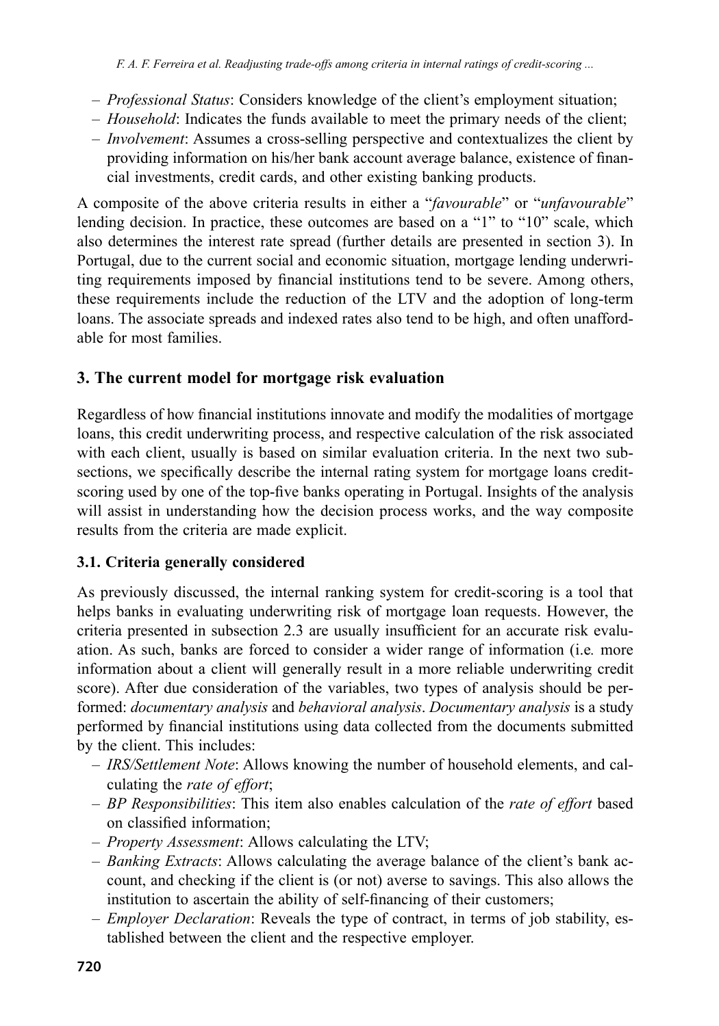- *– Professional Status*: Considers knowledge of the client's employment situation;
- *– Household*: Indicates the funds available to meet the primary needs of the client;
- *– Involvement*: Assumes a cross-selling perspective and contextualizes the client by providing information on his/her bank account average balance, existence of financial investments, credit cards, and other existing banking products.

A composite of the above criteria results in either a "*favourable*" or "*unfavourable*" lending decision. In practice, these outcomes are based on a "1" to "10" scale, which also determines the interest rate spread (further details are presented in section 3). In Portugal, due to the current social and economic situation, mortgage lending underwriting requirements imposed by financial institutions tend to be severe. Among others, these requirements include the reduction of the LTV and the adoption of long-term loans. The associate spreads and indexed rates also tend to be high, and often unaffordable for most families.

### **3. The current model for mortgage risk evaluation**

Regardless of how financial institutions innovate and modify the modalities of mortgage loans, this credit underwriting process, and respective calculation of the risk associated with each client, usually is based on similar evaluation criteria. In the next two subsections, we specifically describe the internal rating system for mortgage loans creditscoring used by one of the top-five banks operating in Portugal. Insights of the analysis will assist in understanding how the decision process works, and the way composite results from the criteria are made explicit.

### **3.1. Criteria generally considered**

As previously discussed, the internal ranking system for credit-scoring is a tool that helps banks in evaluating underwriting risk of mortgage loan requests. However, the criteria presented in subsection 2.3 are usually insufficient for an accurate risk evaluation. As such, banks are forced to consider a wider range of information (i.e*.* more information about a client will generally result in a more reliable underwriting credit score). After due consideration of the variables, two types of analysis should be performed: *documentary analysis* and *behavioral analysis*. *Documentary analysis* is a study performed by financial institutions using data collected from the documents submitted by the client. This includes:

- *– IRS/Settlement Note*: Allows knowing the number of household elements, and calculating the *rate of effort*;
- *– BP Responsibilities*: This item also enables calculation of the *rate of effort* based on classified information;
- *– Property Assessment*: Allows calculating the LTV;
- *– Banking Extracts*: Allows calculating the average balance of the client's bank account, and checking if the client is (or not) averse to savings. This also allows the institution to ascertain the ability of self-financing of their customers;
- *– Employer Declaration*: Reveals the type of contract, in terms of job stability, established between the client and the respective employer.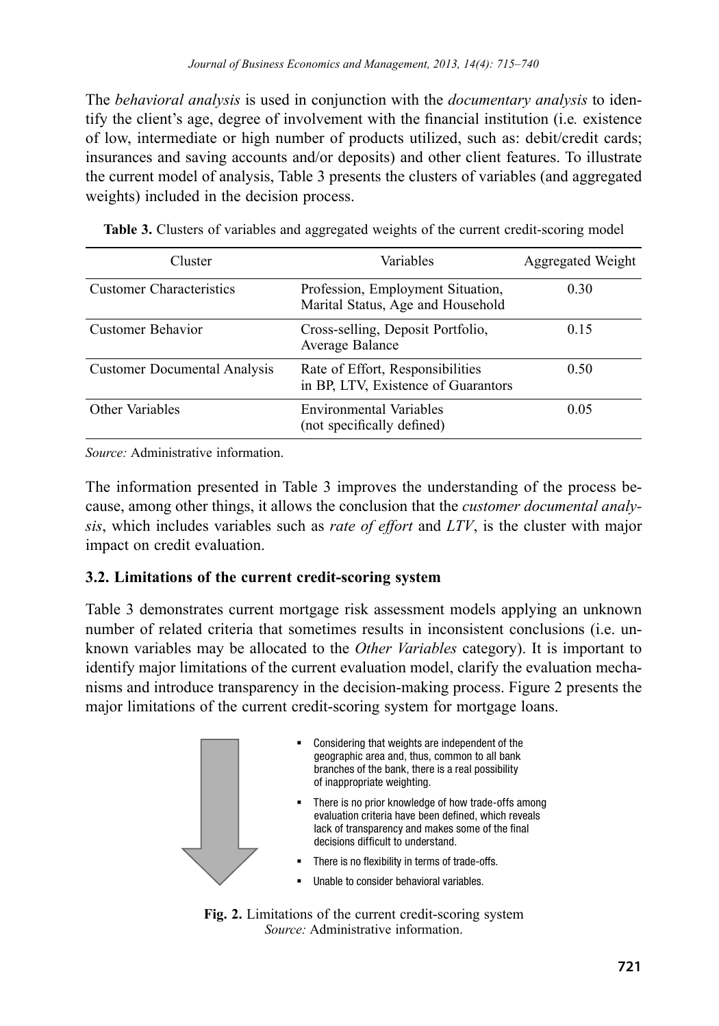The *behavioral analysis* is used in conjunction with the *documentary analysis* to identify the client's age, degree of involvement with the financial institution (i.e*.* existence of low, intermediate or high number of products utilized, such as: debit/credit cards; insurances and saving accounts and/or deposits) and other client features. To illustrate the current model of analysis, Table 3 presents the clusters of variables (and aggregated weights) included in the decision process.

| Cluster                             | Variables                                                               | Aggregated Weight |
|-------------------------------------|-------------------------------------------------------------------------|-------------------|
| <b>Customer Characteristics</b>     | Profession, Employment Situation,<br>Marital Status, Age and Household  | 0.30              |
| Customer Behavior                   | Cross-selling, Deposit Portfolio,<br>Average Balance                    | 0.15              |
| <b>Customer Documental Analysis</b> | Rate of Effort, Responsibilities<br>in BP, LTV, Existence of Guarantors | 0.50              |
| Other Variables                     | <b>Environmental Variables</b><br>(not specifically defined)            | 0.05              |

**Table 3.** Clusters of variables and aggregated weights of the current credit-scoring model

*Source:* Administrative information.

The information presented in Table 3 improves the understanding of the process because, among other things, it allows the conclusion that the *customer documental analysis*, which includes variables such as *rate of effort* and *LTV*, is the cluster with major impact on credit evaluation.

### **3.2. Limitations of the current credit-scoring system**

Table 3 demonstrates current mortgage risk assessment models applying an unknown number of related criteria that sometimes results in inconsistent conclusions (i.e. unknown variables may be allocated to the *Other Variables* category). It is important to identify major limitations of the current evaluation model, clarify the evaluation mechanisms and introduce transparency in the decision-making process. Figure 2 presents the major limitations of the current credit-scoring system for mortgage loans.



**Fig. 2.** Limitations of the current credit-scoring system *Source:* Administrative information.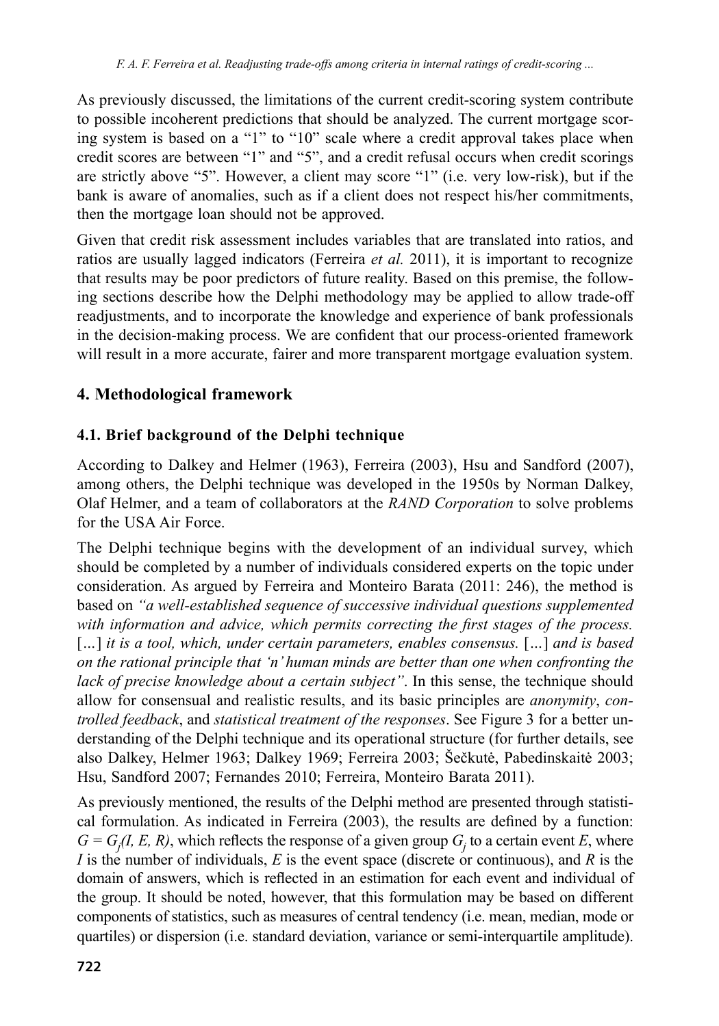As previously discussed, the limitations of the current credit-scoring system contribute to possible incoherent predictions that should be analyzed. The current mortgage scoring system is based on a "1" to "10" scale where a credit approval takes place when credit scores are between "1" and "5", and a credit refusal occurs when credit scorings are strictly above "5". However, a client may score "1" (i.e. very low-risk), but if the bank is aware of anomalies, such as if a client does not respect his/her commitments, then the mortgage loan should not be approved.

Given that credit risk assessment includes variables that are translated into ratios, and ratios are usually lagged indicators (Ferreira *et al.* 2011), it is important to recognize that results may be poor predictors of future reality. Based on this premise, the following sections describe how the Delphi methodology may be applied to allow trade-off readjustments, and to incorporate the knowledge and experience of bank professionals in the decision-making process. We are confident that our process-oriented framework will result in a more accurate, fairer and more transparent mortgage evaluation system.

# **4. Methodological framework**

## **4.1. Brief background of the Delphi technique**

According to Dalkey and Helmer (1963), Ferreira (2003), Hsu and Sandford (2007), among others, the Delphi technique was developed in the 1950s by Norman Dalkey, Olaf Helmer, and a team of collaborators at the *RAND Corporation* to solve problems for the USA Air Force.

The Delphi technique begins with the development of an individual survey, which should be completed by a number of individuals considered experts on the topic under consideration. As argued by Ferreira and Monteiro Barata (2011: 246), the method is based on *"a well-established sequence of successive individual questions supplemented with information and advice, which permits correcting the first stages of the process.*  [*…*] *it is a tool, which, under certain parameters, enables consensus.* [*…*] *and is based on the rational principle that 'n' human minds are better than one when confronting the lack of precise knowledge about a certain subject"*. In this sense, the technique should allow for consensual and realistic results, and its basic principles are *anonymity*, *controlled feedback*, and *statistical treatment of the responses*. See Figure 3 for a better understanding of the Delphi technique and its operational structure (for further details, see also Dalkey, Helmer 1963; Dalkey 1969; Ferreira 2003; Šečkutė, Pabedinskaitė 2003; Hsu, Sandford 2007; Fernandes 2010; Ferreira, Monteiro Barata 2011).

As previously mentioned, the results of the Delphi method are presented through statistical formulation. As indicated in Ferreira (2003), the results are defined by a function:  $G = G_j(I, E, R)$ , which reflects the response of a given group  $G_j$  to a certain event *E*, where *I* is the number of individuals, *E* is the event space (discrete or continuous), and *R* is the domain of answers, which is reflected in an estimation for each event and individual of the group. It should be noted, however, that this formulation may be based on different components of statistics, such as measures of central tendency (i.e. mean, median, mode or quartiles) or dispersion (i.e. standard deviation, variance or semi-interquartile amplitude).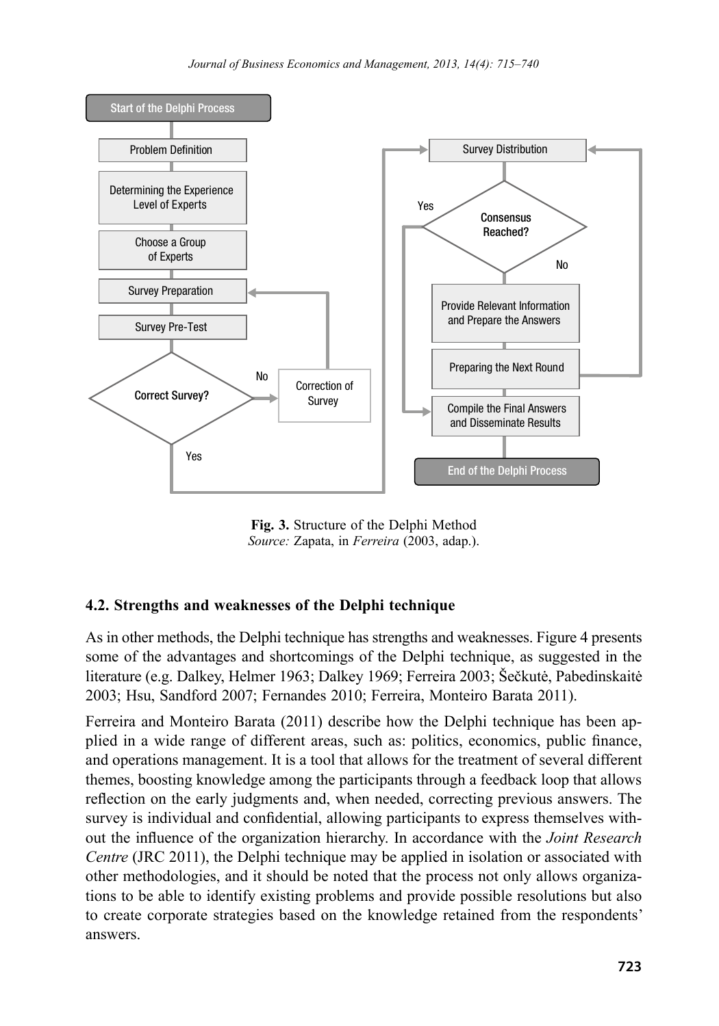

**Fig. 3.** Structure of the Delphi Method *Source:* Zapata, in *Ferreira* (2003, adap.).

### **4.2. Strengths and weaknesses of the Delphi technique**

As in other methods, the Delphi technique has strengths and weaknesses. Figure 4 presents some of the advantages and shortcomings of the Delphi technique, as suggested in the literature (e.g. Dalkey, Helmer 1963; Dalkey 1969; Ferreira 2003; Šečkutė, Pabedinskaitė 2003; Hsu, Sandford 2007; Fernandes 2010; Ferreira, Monteiro Barata 2011).

Ferreira and Monteiro Barata (2011) describe how the Delphi technique has been applied in a wide range of different areas, such as: politics, economics, public finance, and operations management. It is a tool that allows for the treatment of several different themes, boosting knowledge among the participants through a feedback loop that allows reflection on the early judgments and, when needed, correcting previous answers. The survey is individual and confidential, allowing participants to express themselves without the influence of the organization hierarchy. In accordance with the *Joint Research Centre* (JRC 2011), the Delphi technique may be applied in isolation or associated with other methodologies, and it should be noted that the process not only allows organizations to be able to identify existing problems and provide possible resolutions but also to create corporate strategies based on the knowledge retained from the respondents' answers.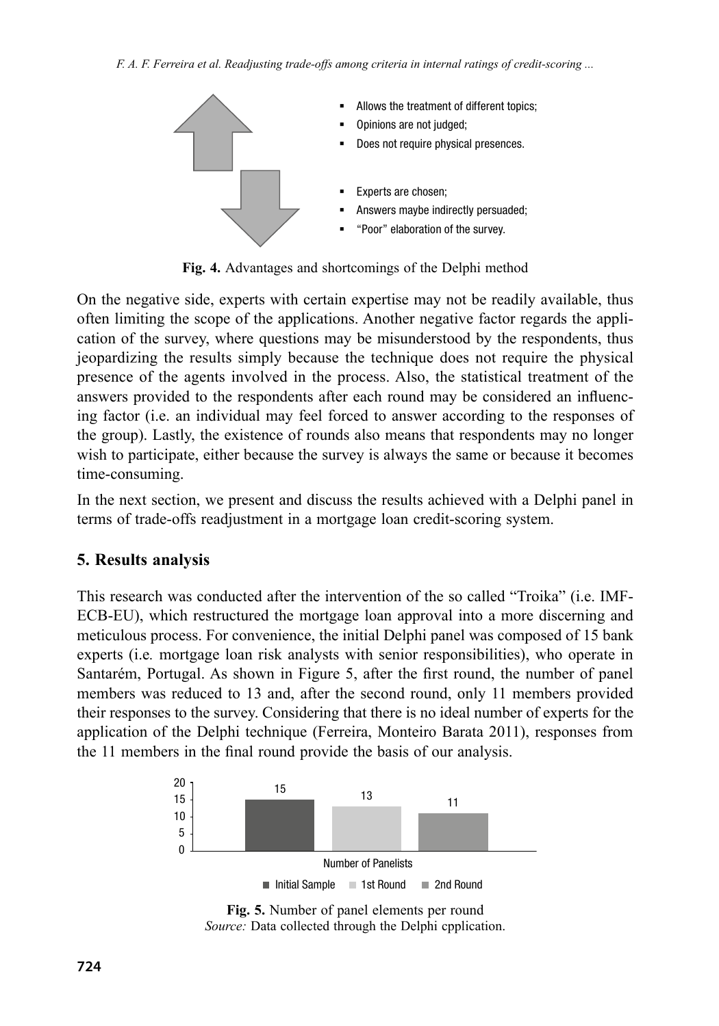

**Fig. 4.** Advantages and shortcomings of the Delphi method

On the negative side, experts with certain expertise may not be readily available, thus often limiting the scope of the applications. Another negative factor regards the application of the survey, where questions may be misunderstood by the respondents, thus jeopardizing the results simply because the technique does not require the physical presence of the agents involved in the process. Also, the statistical treatment of the answers provided to the respondents after each round may be considered an influencing factor (i.e. an individual may feel forced to answer according to the responses of the group). Lastly, the existence of rounds also means that respondents may no longer wish to participate, either because the survey is always the same or because it becomes time-consuming.

In the next section, we present and discuss the results achieved with a Delphi panel in terms of trade-offs readjustment in a mortgage loan credit-scoring system.

### **5. Results analysis**

This research was conducted after the intervention of the so called "Troika" (i.e. IMF-ECB-EU), which restructured the mortgage loan approval into a more discerning and meticulous process. For convenience, the initial Delphi panel was composed of 15 bank experts (i.e*.* mortgage loan risk analysts with senior responsibilities), who operate in Santarém, Portugal. As shown in Figure 5, after the first round, the number of panel members was reduced to 13 and, after the second round, only 11 members provided their responses to the survey. Considering that there is no ideal number of experts for the application of the Delphi technique (Ferreira, Monteiro Barata 2011), responses from the 11 members in the final round provide the basis of our analysis.



**Fig. 5.** Number of panel elements per round *Source:* Data collected through the Delphi cpplication.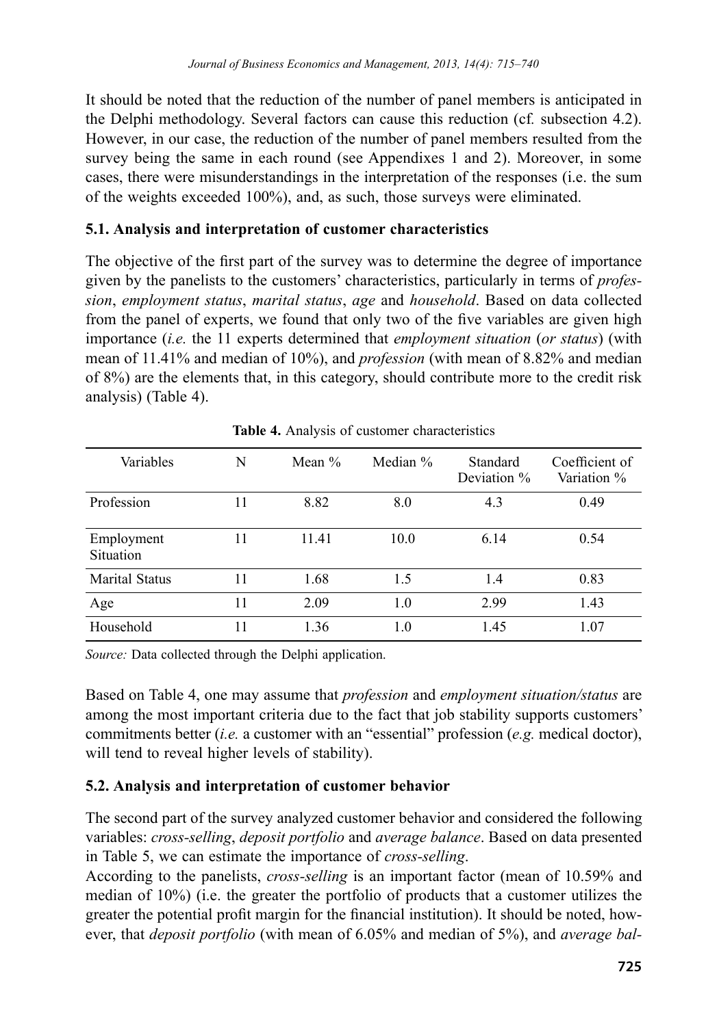It should be noted that the reduction of the number of panel members is anticipated in the Delphi methodology. Several factors can cause this reduction (cf*.* subsection 4.2). However, in our case, the reduction of the number of panel members resulted from the survey being the same in each round (see Appendixes 1 and 2). Moreover, in some cases, there were misunderstandings in the interpretation of the responses (i.e. the sum of the weights exceeded 100%), and, as such, those surveys were eliminated.

### **5.1. Analysis and interpretation of customer characteristics**

The objective of the first part of the survey was to determine the degree of importance given by the panelists to the customers' characteristics, particularly in terms of *profession*, *employment status*, *marital status*, *age* and *household*. Based on data collected from the panel of experts, we found that only two of the five variables are given high importance (*i.e.* the 11 experts determined that *employment situation* (*or status*) (with mean of 11.41% and median of 10%), and *profession* (with mean of 8.82% and median of 8%) are the elements that, in this category, should contribute more to the credit risk analysis) (Table 4).

| Variables               | N  | Mean $\%$ | Median % | Standard<br>Deviation % | Coefficient of<br>Variation % |
|-------------------------|----|-----------|----------|-------------------------|-------------------------------|
| Profession              | 11 | 8.82      | 8.0      | 4.3                     | 0.49                          |
| Employment<br>Situation | 11 | 11.41     | 10.0     | 6.14                    | 0.54                          |
| <b>Marital Status</b>   | 11 | 1.68      | 1.5      | 1.4                     | 0.83                          |
| Age                     | 11 | 2.09      | 1.0      | 2.99                    | 1.43                          |
| Household               | 11 | 1.36      | 1.0      | 1.45                    | 1.07                          |

**Table 4.** Analysis of customer characteristics

*Source:* Data collected through the Delphi application.

Based on Table 4, one may assume that *profession* and *employment situation/status* are among the most important criteria due to the fact that job stability supports customers' commitments better (*i.e.* a customer with an "essential" profession (*e.g.* medical doctor), will tend to reveal higher levels of stability).

### **5.2. Analysis and interpretation of customer behavior**

The second part of the survey analyzed customer behavior and considered the following variables: *cross-selling*, *deposit portfolio* and *average balance*. Based on data presented in Table 5, we can estimate the importance of *cross-selling*.

According to the panelists, *cross-selling* is an important factor (mean of 10.59% and median of 10%) (i.e. the greater the portfolio of products that a customer utilizes the greater the potential profit margin for the financial institution). It should be noted, however, that *deposit portfolio* (with mean of 6.05% and median of 5%), and *average bal-*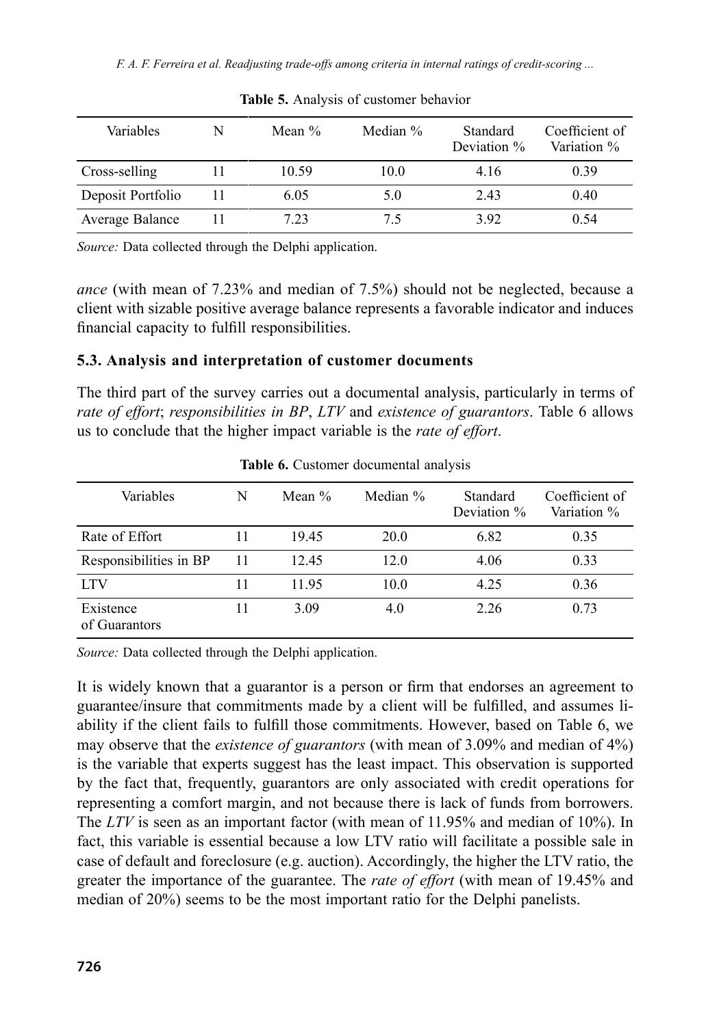*F. A. F. Ferreira et al. Readjusting trade-offs among criteria in internal ratings of credit-scoring ...*

| Variables         | N | Mean $\%$ | Median % | Standard<br>Deviation % | Coefficient of<br>Variation % |
|-------------------|---|-----------|----------|-------------------------|-------------------------------|
| Cross-selling     |   | 10.59     | 10.0     | 4.16                    | 0.39                          |
| Deposit Portfolio |   | 6.05      | 5.0      | 2.43                    | 0.40                          |
| Average Balance   |   | 7.23      | 75       | 392                     | 0.54                          |

**Table 5.** Analysis of customer behavior

*Source:* Data collected through the Delphi application.

*ance* (with mean of 7.23% and median of 7.5%) should not be neglected, because a client with sizable positive average balance represents a favorable indicator and induces financial capacity to fulfill responsibilities.

## **5.3. Analysis and interpretation of customer documents**

The third part of the survey carries out a documental analysis, particularly in terms of *rate of effort*; *responsibilities in BP*, *LTV* and *existence of guarantors*. Table 6 allows us to conclude that the higher impact variable is the *rate of effort*.

| Variables                  | N  | Mean $%$ | Median % | Standard<br>Deviation % | Coefficient of<br>Variation % |
|----------------------------|----|----------|----------|-------------------------|-------------------------------|
| Rate of Effort             | 11 | 19.45    | 20.0     | 6.82                    | 0.35                          |
| Responsibilities in BP     | 11 | 12.45    | 12.0     | 4.06                    | 0.33                          |
| <b>LTV</b>                 | 11 | 1195     | 10.0     | 4.25                    | 0.36                          |
| Existence<br>of Guarantors | 11 | 3.09     | 4.0      | 2.26                    | 0.73                          |

Table **6.** Customer documental analysis

*Source:* Data collected through the Delphi application.

It is widely known that a guarantor is a person or firm that endorses an agreement to guarantee/insure that commitments made by a client will be fulfilled, and assumes liability if the client fails to fulfill those commitments. However, based on Table 6, we may observe that the *existence of guarantors* (with mean of 3.09% and median of 4%) is the variable that experts suggest has the least impact. This observation is supported by the fact that, frequently, guarantors are only associated with credit operations for representing a comfort margin, and not because there is lack of funds from borrowers. The *LTV* is seen as an important factor (with mean of 11.95% and median of 10%). In fact, this variable is essential because a low LTV ratio will facilitate a possible sale in case of default and foreclosure (e.g. auction). Accordingly, the higher the LTV ratio, the greater the importance of the guarantee. The *rate of effort* (with mean of 19.45% and median of 20%) seems to be the most important ratio for the Delphi panelists.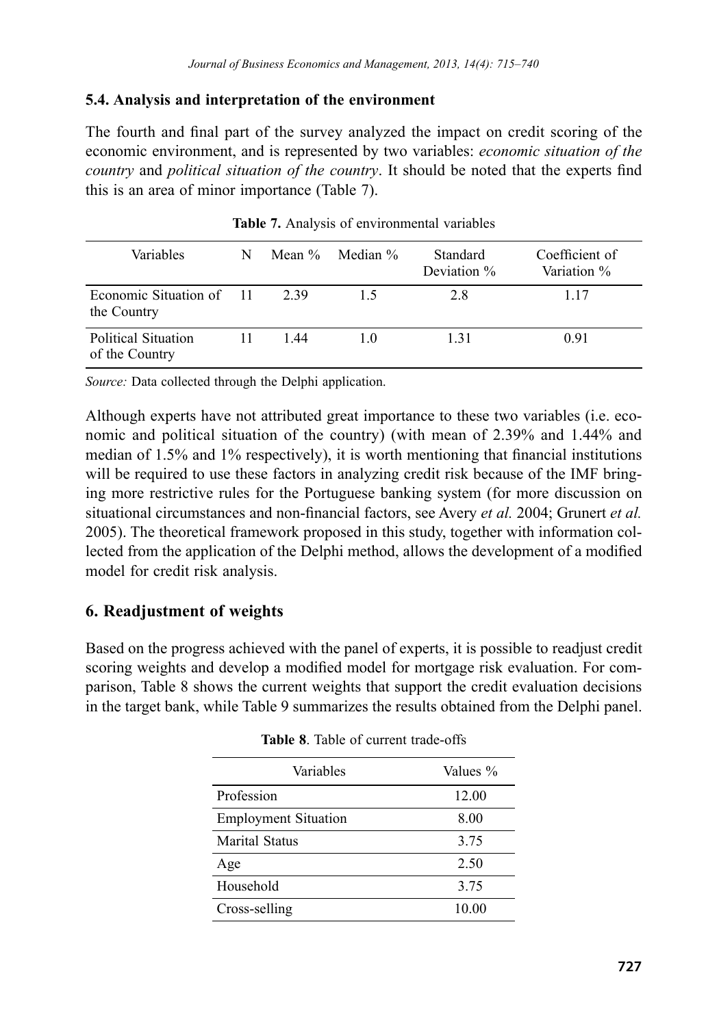#### **5.4. Analysis and interpretation of the environment**

The fourth and final part of the survey analyzed the impact on credit scoring of the economic environment, and is represented by two variables: *economic situation of the country* and *political situation of the country*. It should be noted that the experts find this is an area of minor importance (Table 7).

| <b>Variables</b>                        | N |      | Mean $\%$ Median $\%$ | Standard<br>Deviation % | Coefficient of<br>Variation % |
|-----------------------------------------|---|------|-----------------------|-------------------------|-------------------------------|
| Economic Situation of 11<br>the Country |   | 2.39 | 15                    | 2.8                     | 117                           |
| Political Situation<br>of the Country   |   | 144  | 10                    | 131                     | 0.91                          |

**Table 7.** Analysis of environmental variables

*Source:* Data collected through the Delphi application.

Although experts have not attributed great importance to these two variables (i.e. economic and political situation of the country) (with mean of 2.39% and 1.44% and median of 1.5% and 1% respectively), it is worth mentioning that financial institutions will be required to use these factors in analyzing credit risk because of the IMF bringing more restrictive rules for the Portuguese banking system (for more discussion on situational circumstances and non-financial factors, see Avery *et al.* 2004; Grunert *et al.* 2005). The theoretical framework proposed in this study, together with information collected from the application of the Delphi method, allows the development of a modified model for credit risk analysis.

### **6. Readjustment of weights**

Based on the progress achieved with the panel of experts, it is possible to readjust credit scoring weights and develop a modified model for mortgage risk evaluation. For comparison, Table 8 shows the current weights that support the credit evaluation decisions in the target bank, while Table 9 summarizes the results obtained from the Delphi panel.

| Variables                   | Values % |
|-----------------------------|----------|
| Profession                  | 12.00    |
| <b>Employment Situation</b> | 8.00     |
| <b>Marital Status</b>       | 3.75     |
| Age                         | 2.50     |
| Household                   | 3.75     |
| Cross-selling               | 10.00    |

|  |  |  |  | <b>Table 8.</b> Table of current trade-offs |
|--|--|--|--|---------------------------------------------|
|--|--|--|--|---------------------------------------------|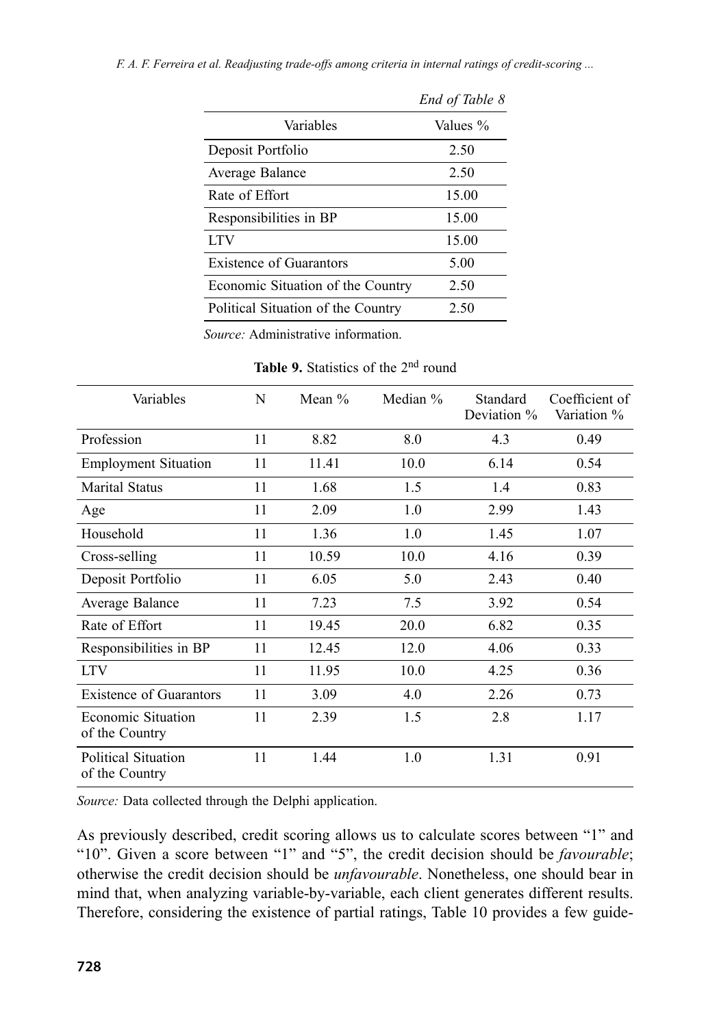|                                    | End of Table 8 |
|------------------------------------|----------------|
| Variables                          | Values %       |
| Deposit Portfolio                  | 2.50           |
| Average Balance                    | 2.50           |
| Rate of Effort                     | 15.00          |
| Responsibilities in BP             | 15.00          |
| <b>LTV</b>                         | 15.00          |
| Existence of Guarantors            | 5.00           |
| Economic Situation of the Country  | 2.50           |
| Political Situation of the Country | 2.50           |

*F. A. F. Ferreira et al. Readjusting trade-offs among criteria in internal ratings of credit-scoring ...*

*Source:* Administrative information.

**Table 9.** Statistics of the 2<sup>nd</sup> round

| Variables                             | N  | Mean $\%$ | Median % | Standard<br>Deviation % | Coefficient of<br>Variation % |
|---------------------------------------|----|-----------|----------|-------------------------|-------------------------------|
| Profession                            | 11 | 8.82      | 8.0      | 4.3                     | 0.49                          |
| <b>Employment Situation</b>           | 11 | 11.41     | 10.0     | 6.14                    | 0.54                          |
| Marital Status                        | 11 | 1.68      | 1.5      | 1.4                     | 0.83                          |
| Age                                   | 11 | 2.09      | 1.0      | 2.99                    | 1.43                          |
| Household                             | 11 | 1.36      | 1.0      | 1.45                    | 1.07                          |
| Cross-selling                         | 11 | 10.59     | 10.0     | 4.16                    | 0.39                          |
| Deposit Portfolio                     | 11 | 6.05      | 5.0      | 2.43                    | 0.40                          |
| Average Balance                       | 11 | 7.23      | 7.5      | 3.92                    | 0.54                          |
| Rate of Effort                        | 11 | 19.45     | 20.0     | 6.82                    | 0.35                          |
| Responsibilities in BP                | 11 | 12.45     | 12.0     | 4.06                    | 0.33                          |
| <b>LTV</b>                            | 11 | 11.95     | 10.0     | 4.25                    | 0.36                          |
| <b>Existence of Guarantors</b>        | 11 | 3.09      | 4.0      | 2.26                    | 0.73                          |
| Economic Situation<br>of the Country  | 11 | 2.39      | 1.5      | 2.8                     | 1.17                          |
| Political Situation<br>of the Country | 11 | 1.44      | 1.0      | 1.31                    | 0.91                          |

*Source:* Data collected through the Delphi application.

As previously described, credit scoring allows us to calculate scores between "1" and "10". Given a score between "1" and "5", the credit decision should be *favourable*; otherwise the credit decision should be *unfavourable*. Nonetheless, one should bear in mind that, when analyzing variable-by-variable, each client generates different results. Therefore, considering the existence of partial ratings, Table 10 provides a few guide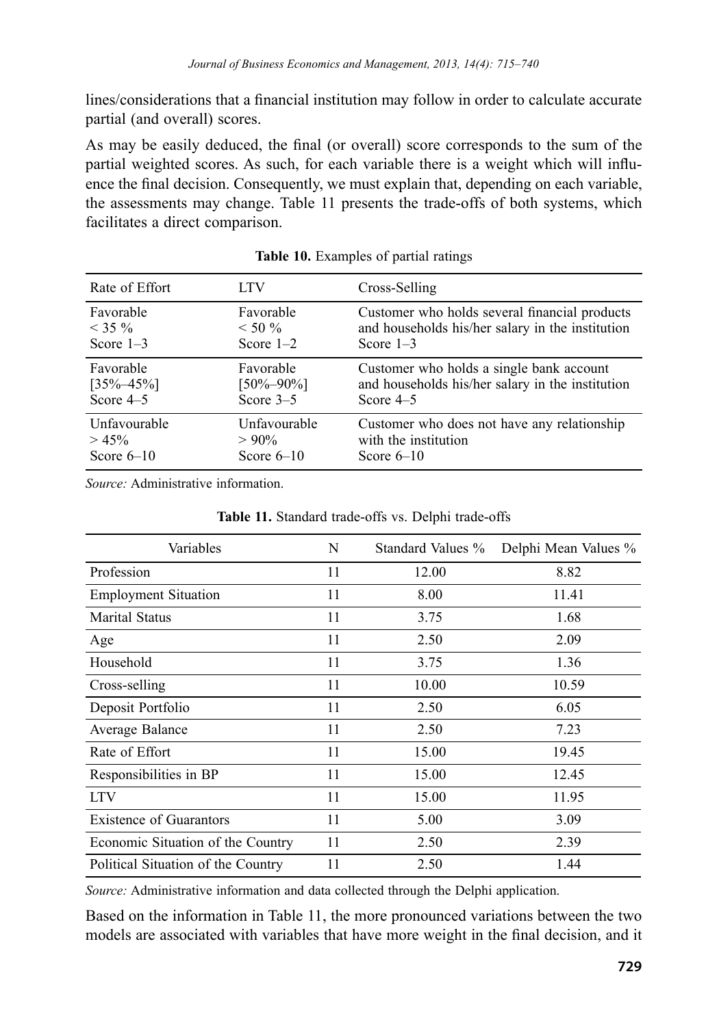lines/considerations that a financial institution may follow in order to calculate accurate partial (and overall) scores.

As may be easily deduced, the final (or overall) score corresponds to the sum of the partial weighted scores. As such, for each variable there is a weight which will influence the final decision. Consequently, we must explain that, depending on each variable, the assessments may change. Table 11 presents the trade-offs of both systems, which facilitates a direct comparison.

| Rate of Effort  | LTV             | Cross-Selling                                    |
|-----------------|-----------------|--------------------------------------------------|
| Favorable       | Favorable       | Customer who holds several financial products    |
| $<$ 35 %        | $< 50 \%$       | and households his/her salary in the institution |
| Score $1-3$     | Score $1-2$     | Score $1-3$                                      |
| Favorable       | Favorable       | Customer who holds a single bank account         |
| $[35\% - 45\%]$ | $[50\% - 90\%]$ | and households his/her salary in the institution |
| Score $4-5$     | Score $3-5$     | Score $4-5$                                      |
| Unfavourable    | Unfavourable    | Customer who does not have any relationship      |
| $> 45\%$        | $>90\%$         | with the institution                             |
| Score $6-10$    | Score $6-10$    | Score $6-10$                                     |

|  | Table 10. Examples of partial ratings |  |  |
|--|---------------------------------------|--|--|
|--|---------------------------------------|--|--|

*Source:* Administrative information.

| Variables                          | N  | Standard Values % | Delphi Mean Values % |
|------------------------------------|----|-------------------|----------------------|
| Profession                         | 11 | 12.00             | 8.82                 |
| <b>Employment Situation</b>        | 11 | 8.00              | 11.41                |
| <b>Marital Status</b>              | 11 | 3.75              | 1.68                 |
| Age                                | 11 | 2.50              | 2.09                 |
| Household                          | 11 | 3.75              | 1.36                 |
| Cross-selling                      | 11 | 10.00             | 10.59                |
| Deposit Portfolio                  | 11 | 2.50              | 6.05                 |
| Average Balance                    | 11 | 2.50              | 7.23                 |
| Rate of Effort                     | 11 | 15.00             | 19.45                |
| Responsibilities in BP             | 11 | 15.00             | 12.45                |
| <b>LTV</b>                         | 11 | 15.00             | 11.95                |
| <b>Existence of Guarantors</b>     | 11 | 5.00              | 3.09                 |
| Economic Situation of the Country  | 11 | 2.50              | 2.39                 |
| Political Situation of the Country | 11 | 2.50              | 1.44                 |

**Table 11.** Standard trade-offs vs. Delphi trade-offs

*Source:* Administrative information and data collected through the Delphi application.

Based on the information in Table 11, the more pronounced variations between the two models are associated with variables that have more weight in the final decision, and it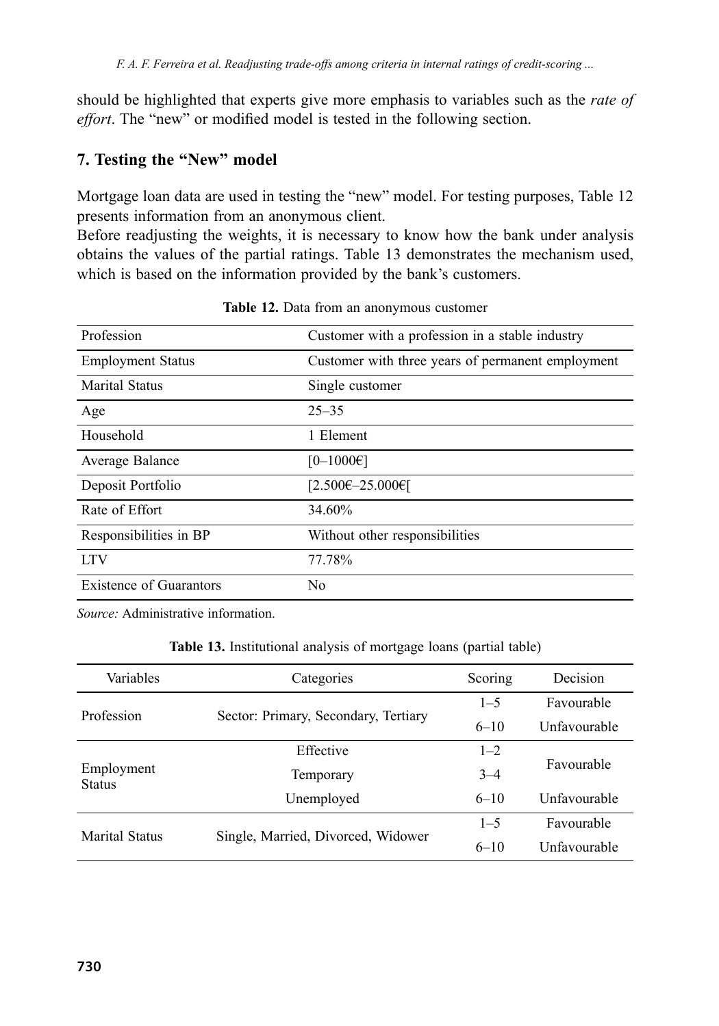should be highlighted that experts give more emphasis to variables such as the *rate of effort*. The "new" or modified model is tested in the following section.

# **7. Testing the "New" model**

Mortgage loan data are used in testing the "new" model. For testing purposes, Table 12 presents information from an anonymous client.

Before readjusting the weights, it is necessary to know how the bank under analysis obtains the values of the partial ratings. Table 13 demonstrates the mechanism used, which is based on the information provided by the bank's customers.

| Profession                     | Customer with a profession in a stable industry   |
|--------------------------------|---------------------------------------------------|
| <b>Employment Status</b>       | Customer with three years of permanent employment |
| Marital Status                 | Single customer                                   |
| Age                            | $25 - 35$                                         |
| Household                      | 1 Element                                         |
| Average Balance                | $[0-1000 \infty]$                                 |
| Deposit Portfolio              | [2.500€-25.000€]                                  |
| Rate of Effort                 | 34.60%                                            |
| Responsibilities in BP         | Without other responsibilities                    |
| <b>LTV</b>                     | 77.78%                                            |
| <b>Existence of Guarantors</b> | No                                                |

Table 12. Data from an anonymous customer

*Source:* Administrative information.

| Variables                   | Categories                           | Scoring  | Decision            |
|-----------------------------|--------------------------------------|----------|---------------------|
|                             |                                      | $1 - 5$  | Favourable          |
| Profession                  | Sector: Primary, Secondary, Tertiary | $6 - 10$ | Unfavourable        |
| Employment<br><b>Status</b> | Effective                            | $1 - 2$  | Favourable          |
|                             | Temporary                            | $3 - 4$  |                     |
|                             | Unemployed                           | $6 - 10$ | <b>Unfavourable</b> |
| <b>Marital Status</b>       |                                      | $1 - 5$  | Favourable          |
|                             | Single, Married, Divorced, Widower   | $6 - 10$ | <b>Unfavourable</b> |

**Table 13.** Institutional analysis of mortgage loans (partial table)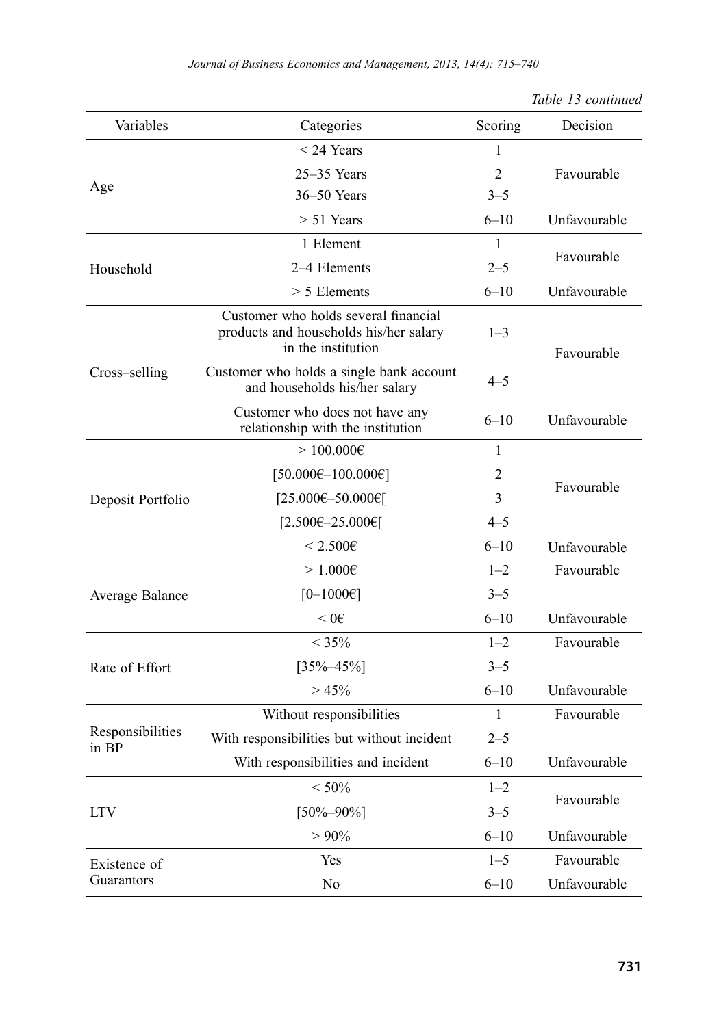| Variables                 | Categories                                                                                           | Scoring        | Decision     |
|---------------------------|------------------------------------------------------------------------------------------------------|----------------|--------------|
|                           | $<$ 24 Years                                                                                         | $\mathbf{1}$   |              |
|                           | 25–35 Years                                                                                          | $\overline{2}$ | Favourable   |
| Age                       | 36-50 Years                                                                                          | $3 - 5$        |              |
|                           | $> 51$ Years                                                                                         | $6 - 10$       | Unfavourable |
|                           | 1 Element                                                                                            | 1              |              |
| Household                 | 2-4 Elements                                                                                         | $2 - 5$        | Favourable   |
|                           | $> 5$ Elements                                                                                       | $6 - 10$       | Unfavourable |
|                           | Customer who holds several financial<br>products and households his/her salary<br>in the institution | $1 - 3$        | Favourable   |
| Cross-selling             | Customer who holds a single bank account<br>and households his/her salary                            | $4 - 5$        |              |
|                           | Customer who does not have any<br>relationship with the institution                                  | $6 - 10$       | Unfavourable |
|                           | > 100.0006                                                                                           | $\mathbf{1}$   |              |
|                           | $[50.000 \text{E}-100.000 \text{E}]$                                                                 | $\overline{2}$ | Favourable   |
| Deposit Portfolio         | [25.000€-50.000€]                                                                                    | 3              |              |
|                           | [2.500€-25.000€]                                                                                     | $4 - 5$        |              |
|                           | $< 2.500 \epsilon$                                                                                   | $6 - 10$       | Unfavourable |
|                           | $>1.000\varepsilon$                                                                                  | $1 - 2$        | Favourable   |
| Average Balance           | $[0-1000 \infty]$                                                                                    | $3 - 5$        |              |
|                           | $< 0 \in$                                                                                            | $6 - 10$       | Unfavourable |
|                           | $< 35\%$                                                                                             | $1 - 2$        | Favourable   |
| Rate of Effort            | $[35\% - 45\%]$                                                                                      | $3 - 5$        |              |
|                           | > 45%                                                                                                | $6 - 10$       | Unfavourable |
|                           | Without responsibilities                                                                             | $\mathbf{1}$   | Favourable   |
| Responsibilities<br>in BP | With responsibilities but without incident                                                           | $2 - 5$        |              |
|                           | With responsibilities and incident                                                                   | $6 - 10$       | Unfavourable |
|                           | $< 50\%$                                                                                             | $1 - 2$        |              |
| <b>LTV</b>                | $[50\% - 90\%]$                                                                                      | $3 - 5$        | Favourable   |
|                           | $> 90\%$                                                                                             | $6 - 10$       | Unfavourable |
| Existence of              | Yes                                                                                                  | $1 - 5$        | Favourable   |
| Guarantors                | No                                                                                                   | $6 - 10$       | Unfavourable |

|  | Table 13 continued |
|--|--------------------|
|--|--------------------|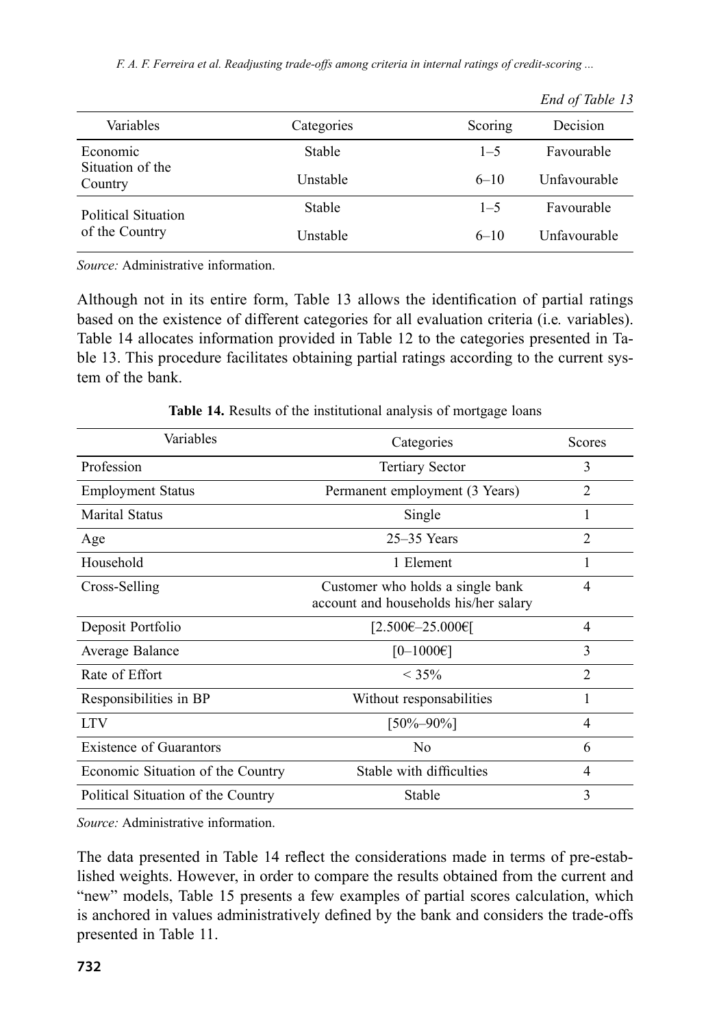*F. A. F. Ferreira et al. Readjusting trade-offs among criteria in internal ratings of credit-scoring ...*

|                             |               |          | $ \cdots$ $\cdots$ $\cdots$ $\cdots$ |
|-----------------------------|---------------|----------|--------------------------------------|
| Variables                   | Categories    | Scoring  | Decision                             |
| Economic                    | <b>Stable</b> | $1 - 5$  | Favourable                           |
| Situation of the<br>Country | Unstable      | $6 - 10$ | Unfavourable                         |
| Political Situation         | <b>Stable</b> | $1 - 5$  | Favourable                           |
| of the Country              | Unstable      | $6 - 10$ | Unfavourable                         |

*End of Table 13*

*Source:* Administrative information.

Although not in its entire form, Table 13 allows the identification of partial ratings based on the existence of different categories for all evaluation criteria (i.e*.* variables). Table 14 allocates information provided in Table 12 to the categories presented in Table 13. This procedure facilitates obtaining partial ratings according to the current system of the bank.

| Variables                          | Categories                                                                | <b>Scores</b>            |
|------------------------------------|---------------------------------------------------------------------------|--------------------------|
| Profession                         | <b>Tertiary Sector</b>                                                    | 3                        |
| <b>Employment Status</b>           | Permanent employment (3 Years)                                            | 2                        |
| <b>Marital Status</b>              | Single                                                                    | 1                        |
| Age                                | $25-35$ Years                                                             | $\overline{2}$           |
| Household                          | 1 Element                                                                 |                          |
| Cross-Selling                      | Customer who holds a single bank<br>account and households his/her salary | 4                        |
| Deposit Portfolio                  | $[2.500 \text{E} - 25.000 \text{E}]$                                      | 4                        |
| Average Balance                    | $[0-1000 \infty]$                                                         | 3                        |
| Rate of Effort                     | $< 35\%$                                                                  | $\mathfrak{D}$           |
| Responsibilities in BP             | Without responsabilities                                                  | 1                        |
| <b>LTV</b>                         | $[50\% - 90\%]$                                                           | $\overline{\mathcal{A}}$ |
| <b>Existence of Guarantors</b>     | N <sub>0</sub>                                                            | 6                        |
| Economic Situation of the Country  | Stable with difficulties                                                  | 4                        |
| Political Situation of the Country | Stable                                                                    | 3                        |

**Table 14.** Results of the institutional analysis of mortgage loans

*Source:* Administrative information.

The data presented in Table 14 reflect the considerations made in terms of pre-established weights. However, in order to compare the results obtained from the current and "new" models, Table 15 presents a few examples of partial scores calculation, which is anchored in values administratively defined by the bank and considers the trade-offs presented in Table 11.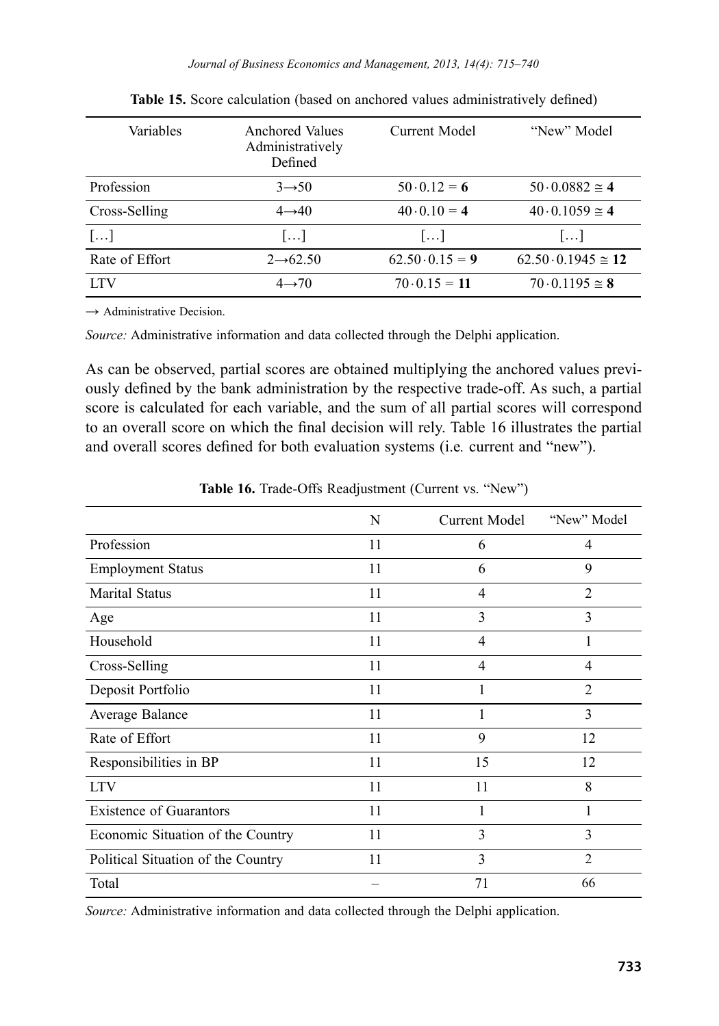| Variables      | Anchored Values<br>Administratively<br>Defined | Current Model           | "New" Model                     |
|----------------|------------------------------------------------|-------------------------|---------------------------------|
| Profession     | $3 \rightarrow 50$                             | $50 \cdot 0.12 = 6$     | $50 \cdot 0.0882 \approx 4$     |
| Cross-Selling  | $4\rightarrow 40$                              | $40 \cdot 0.10 = 4$     | $40.0.1059 \approx 4$           |
| $[\dots]$      | $\left[\ldots\right]$                          | $\left  \ldots \right $ | $\left  \ldots \right $         |
| Rate of Effort | $2\rightarrow 62.50$                           | $62.50 \cdot 0.15 = 9$  | $62.50 \cdot 0.1945 \approx 12$ |
| <b>LTV</b>     | $4 \rightarrow 70$                             | $70 \cdot 0.15 = 11$    | $70 \cdot 0.1195 \approx 8$     |

**Table 15.** Score calculation (based on anchored values administratively defined)

*→* Administrative Decision.

*Source:* Administrative information and data collected through the Delphi application.

As can be observed, partial scores are obtained multiplying the anchored values previously defined by the bank administration by the respective trade-off. As such, a partial score is calculated for each variable, and the sum of all partial scores will correspond to an overall score on which the final decision will rely. Table 16 illustrates the partial and overall scores defined for both evaluation systems (i.e*.* current and "new").

|                                    | N  | Current Model  | "New" Model    |
|------------------------------------|----|----------------|----------------|
| Profession                         | 11 | 6              | 4              |
| <b>Employment Status</b>           | 11 | 6              | 9              |
| <b>Marital Status</b>              | 11 | $\overline{4}$ | $\mathfrak{D}$ |
| Age                                | 11 | 3              | 3              |
| Household                          | 11 | $\overline{4}$ | 1              |
| Cross-Selling                      | 11 | $\overline{4}$ | 4              |
| Deposit Portfolio                  | 11 |                | $\overline{2}$ |
| Average Balance                    | 11 |                | 3              |
| Rate of Effort                     | 11 | 9              | 12             |
| Responsibilities in BP             | 11 | 15             | 12             |
| <b>LTV</b>                         | 11 | 11             | 8              |
| <b>Existence of Guarantors</b>     | 11 | 1              | 1              |
| Economic Situation of the Country  | 11 | 3              | 3              |
| Political Situation of the Country | 11 | 3              | $\mathfrak{D}$ |
| Total                              |    | 71             | 66             |

**Table 16.** Trade-Offs Readjustment (Current vs. "New")

*Source:* Administrative information and data collected through the Delphi application.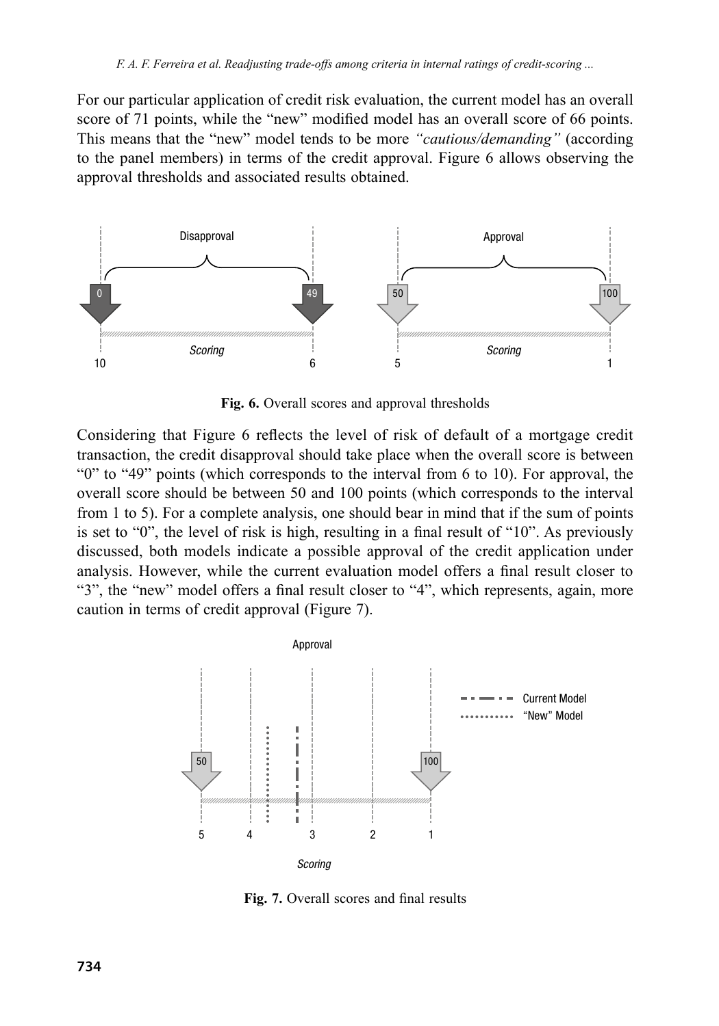For our particular application of credit risk evaluation, the current model has an overall score of 71 points, while the "new" modified model has an overall score of 66 points. This means that the "new" model tends to be more *"cautious/demanding"* (according to the panel members) in terms of the credit approval. Figure 6 allows observing the approval thresholds and associated results obtained.



**Fig. 6.** Overall scores and approval thresholds

Considering that Figure 6 reflects the level of risk of default of a mortgage credit transaction, the credit disapproval should take place when the overall score is between "0" to "49" points (which corresponds to the interval from 6 to 10). For approval, the overall score should be between 50 and 100 points (which corresponds to the interval from 1 to 5). For a complete analysis, one should bear in mind that if the sum of points is set to "0", the level of risk is high, resulting in a final result of "10". As previously discussed, both models indicate a possible approval of the credit application under analysis. However, while the current evaluation model offers a final result closer to "3", the "new" model offers a final result closer to "4", which represents, again, more caution in terms of credit approval (Figure 7).



**Fig. 7.** Overall scores and final results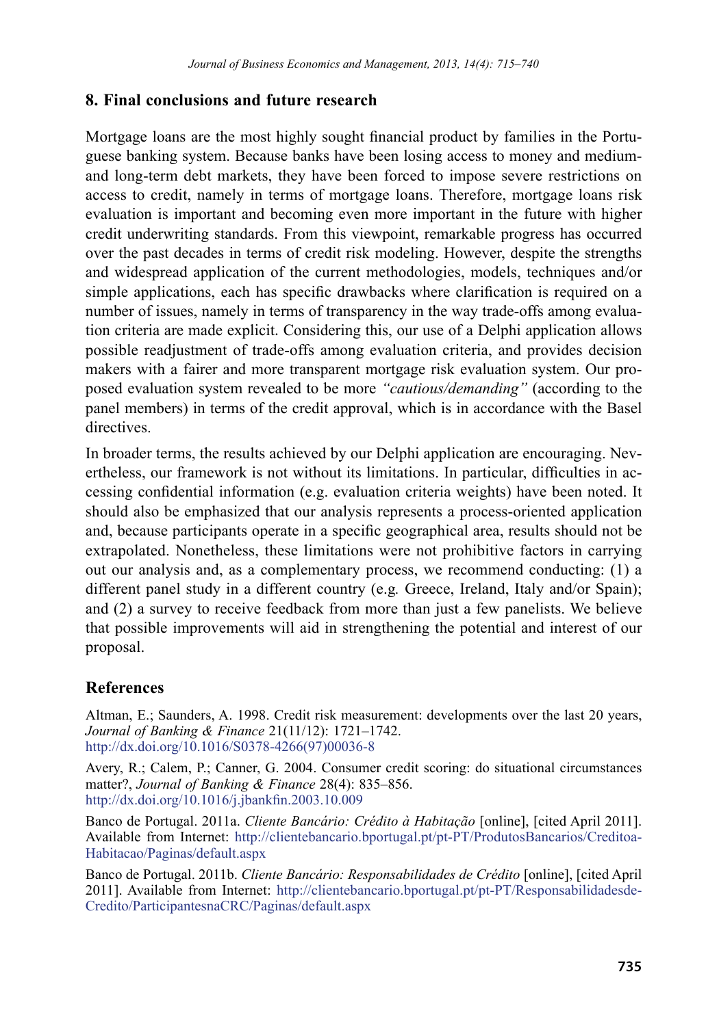### **8. Final conclusions and future research**

Mortgage loans are the most highly sought financial product by families in the Portuguese banking system. Because banks have been losing access to money and mediumand long-term debt markets, they have been forced to impose severe restrictions on access to credit, namely in terms of mortgage loans. Therefore, mortgage loans risk evaluation is important and becoming even more important in the future with higher credit underwriting standards. From this viewpoint, remarkable progress has occurred over the past decades in terms of credit risk modeling. However, despite the strengths and widespread application of the current methodologies, models, techniques and/or simple applications, each has specific drawbacks where clarification is required on a number of issues, namely in terms of transparency in the way trade-offs among evaluation criteria are made explicit. Considering this, our use of a Delphi application allows possible readjustment of trade-offs among evaluation criteria, and provides decision makers with a fairer and more transparent mortgage risk evaluation system. Our proposed evaluation system revealed to be more *"cautious/demanding"* (according to the panel members) in terms of the credit approval, which is in accordance with the Basel directives.

In broader terms, the results achieved by our Delphi application are encouraging. Nevertheless, our framework is not without its limitations. In particular, difficulties in accessing confidential information (e.g. evaluation criteria weights) have been noted. It should also be emphasized that our analysis represents a process-oriented application and, because participants operate in a specific geographical area, results should not be extrapolated. Nonetheless, these limitations were not prohibitive factors in carrying out our analysis and, as a complementary process, we recommend conducting: (1) a different panel study in a different country (e.g*.* Greece, Ireland, Italy and/or Spain); and (2) a survey to receive feedback from more than just a few panelists. We believe that possible improvements will aid in strengthening the potential and interest of our proposal.

# **References**

Altman, E.; Saunders, A. 1998. Credit risk measurement: developments over the last 20 years, *Journal of Banking & Finance* 21(11/12): 1721–1742. [http://dx.doi.org/10.1016/S0378-4266\(97\)00036-8](http://dx.doi.org/10.1016/S0378-4266(97)00036-8)

Avery, R.; Calem, P.; Canner, G. 2004. Consumer credit scoring: do situational circumstances matter?, *Journal of Banking & Finance* 28(4): 835–856. <http://dx.doi.org/10.1016/j.jbankfin.2003.10.009>

Banco de Portugal. 2011a. *Cliente Bancário: Crédito à Habitação* [online], [cited April 2011]. Available from Internet: [http://clientebancario.bportugal.pt/pt-PT/ProdutosBancarios/Creditoa-](http://clientebancario.bportugal.pt/pt-PT/ProdutosBancarios/CreditoaHabitacao/Paginas/default.aspx)[Habitacao/Paginas/default.aspx](http://clientebancario.bportugal.pt/pt-PT/ProdutosBancarios/CreditoaHabitacao/Paginas/default.aspx)

Banco de Portugal. 2011b. *Cliente Bancário: Responsabilidades de Crédito* [online], [cited April] 2011]. Available from Internet: [http://clientebancario.bportugal.pt/pt-PT/Responsabilidadesde-](http://clientebancario.bportugal.pt/pt-PT/ResponsabilidadesdeCredito/ParticipantesnaCRC/Paginas/default.aspx
)[Credito/ParticipantesnaCRC/Paginas/default.aspx](http://clientebancario.bportugal.pt/pt-PT/ResponsabilidadesdeCredito/ParticipantesnaCRC/Paginas/default.aspx
)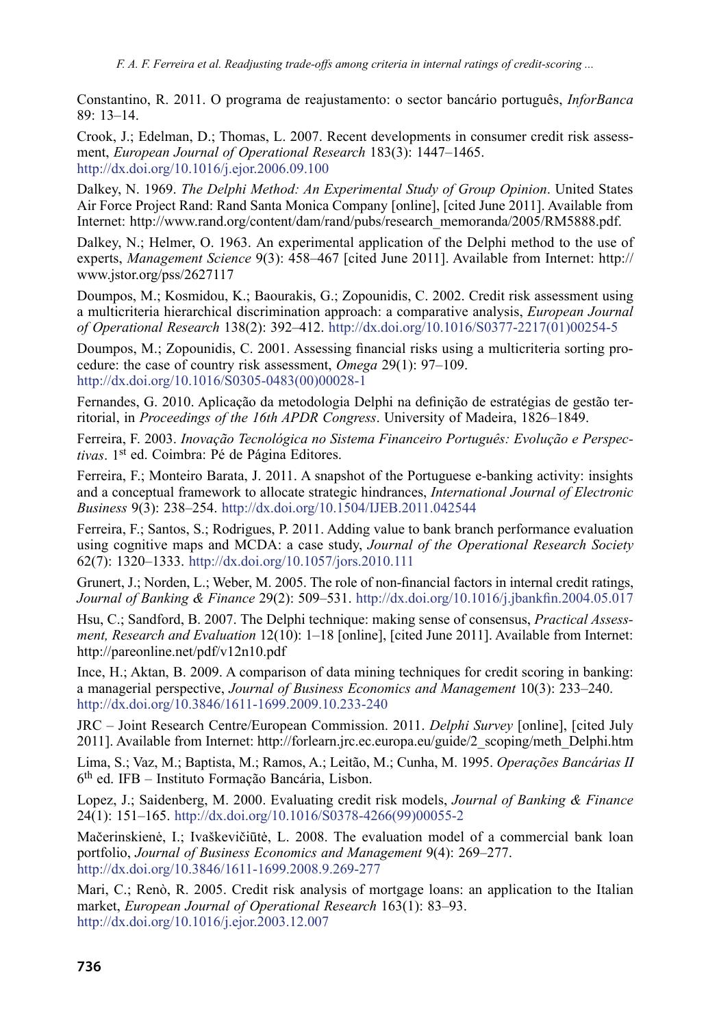Constantino, R. 2011. O programa de reajustamento: o sector bancário português, *InforBanca* 89: 13–14.

Crook, J.; Edelman, D.; Thomas, L. 2007. Recent developments in consumer credit risk assessment, *European Journal of Operational Research* 183(3): 1447–1465. <http://dx.doi.org/10.1016/j.ejor.2006.09.100>

Dalkey, N. 1969. *The Delphi Method: An Experimental Study of Group Opinion*. United States Air Force Project Rand: Rand Santa Monica Company [online], [cited June 2011]. Available from Internet: http://www.rand.org/content/dam/rand/pubs/research\_memoranda/2005/RM5888.pdf.

Dalkey, N.; Helmer, O. 1963. An experimental application of the Delphi method to the use of experts, *Management Science* 9(3): 458–467 [cited June 2011]. Available from Internet: [http://](http://www.jstor.org/pss/2627117) [www.jstor.org/pss/2627117](http://www.jstor.org/pss/2627117)

Doumpos, M.; Kosmidou, K.; Baourakis, G.; Zopounidis, C. 2002. Credit risk assessment using a multicriteria hierarchical discrimination approach: a comparative analysis, *European Journal of Operational Research* 138(2): 392–412. [http://dx.doi.org/10.1016/S0377-2217\(01\)00254-5](http://dx.doi.org/10.1016/S0377-2217(01)00254-5)

Doumpos, M.; Zopounidis, C. 2001. Assessing financial risks using a multicriteria sorting procedure: the case of country risk assessment, *Omega* 29(1): 97–109. [http://dx.doi.org/10.1016/S0305-0483\(00\)00028-1](http://dx.doi.org/10.1016/S0305-0483(00)00028-1)

Fernandes, G. 2010. Aplicação da metodologia Delphi na definição de estratégias de gestão territorial, in *Proceedings of the 16th APDR Congress*. University of Madeira, 1826–1849.

Ferreira, F. 2003. *Inovação Tecnológica no Sistema Financeiro Português: Evolução e Perspectivas*. 1st ed. Coimbra: Pé de Página Editores.

Ferreira, F.; Monteiro Barata, J. 2011. A snapshot of the Portuguese e-banking activity: insights and a conceptual framework to allocate strategic hindrances, *International Journal of Electronic Business* 9(3): 238–254. <http://dx.doi.org/10.1504/IJEB.2011.042544>

Ferreira, F.; Santos, S.; Rodrigues, P. 2011. Adding value to bank branch performance evaluation using cognitive maps and MCDA: a case study, *Journal of the Operational Research Society* 62(7): 1320–1333. <http://dx.doi.org/10.1057/jors.2010.111>

Grunert, J.; Norden, L.; Weber, M. 2005. The role of non-financial factors in internal credit ratings, *Journal of Banking & Finance* 29(2): 509–531. <http://dx.doi.org/10.1016/j.jbankfin.2004.05.017>

Hsu, C.; Sandford, B. 2007. The Delphi technique: making sense of consensus, *Practical Assessment, Research and Evaluation* 12(10): 1–18 [online], [cited June 2011]. Available from Internet: http://pareonline.net/pdf/v12n10.pdf

Ince, H.; Aktan, B. 2009. A comparison of data mining techniques for credit scoring in banking: a managerial perspective, *Journal of Business Economics and Management* 10(3): 233–240. <http://dx.doi.org/10.3846/1611-1699.2009.10.233-240>

JRC – Joint Research Centre/European Commission. 2011. *Delphi Survey* [online], [cited July 2011]. Available from Internet: http://forlearn.jrc.ec.europa.eu/guide/2\_scoping/meth\_Delphi.htm

Lima, S.; Vaz, M.; Baptista, M.; Ramos, A.; Leitão, M.; Cunha, M. 1995. *Operações Bancárias II* 6th ed. IFB – Instituto Formação Bancária, Lisbon.

Lopez, J.; Saidenberg, M. 2000. Evaluating credit risk models, *Journal of Banking & Finance*  $24(1)$ : 151–165. [http://dx.doi.org/10.1016/S0378-4266\(99\)00055-2](http://dx.doi.org/10.1016/S0378-4266(99)00055-2)

Mačerinskienė, I.; Ivaškevičiūtė, L. 2008. The evaluation model of a commercial bank loan portfolio, *Journal of Business Economics and Management* 9(4): 269–277. <http://dx.doi.org/10.3846/1611-1699.2008.9.269-277>

Mari, C.; Renò, R. 2005. Credit risk analysis of mortgage loans: an application to the Italian market, *European Journal of Operational Research* 163(1): 83–93. <http://dx.doi.org/10.1016/j.ejor.2003.12.007>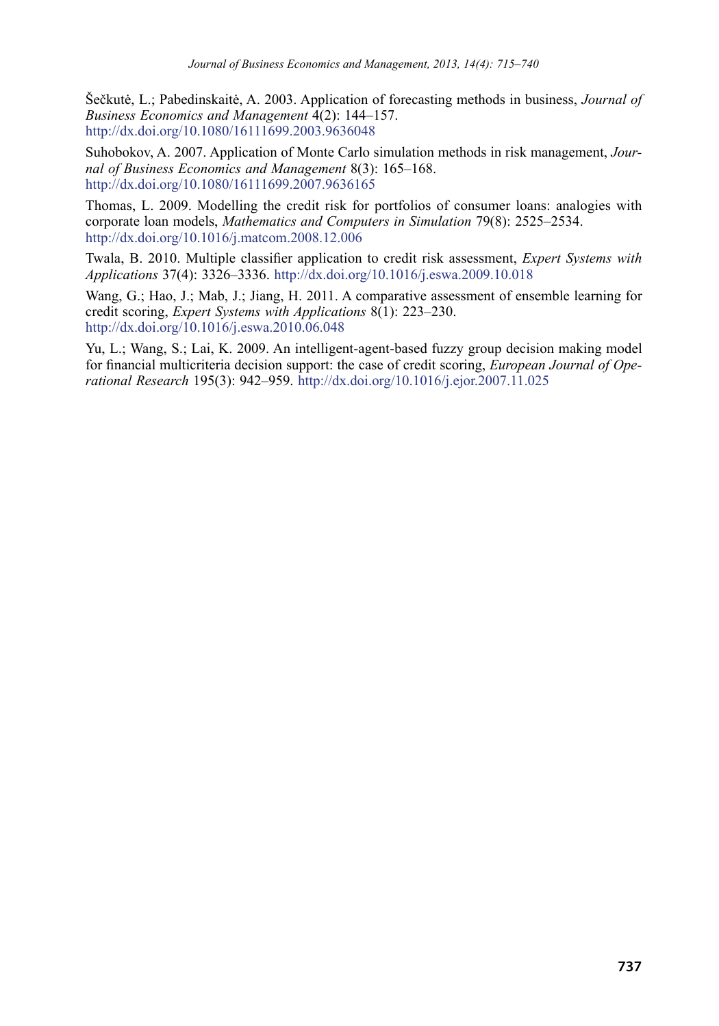Šečkutė, L.; Pabedinskaitė, A. 2003. Application of forecasting methods in business, *Journal of Business Economics and Management* 4(2): 144–157. <http://dx.doi.org/10.1080/16111699.2003.9636048>

Suhobokov, A. 2007. Application of Monte Carlo simulation methods in risk management, *Journal of Business Economics and Management* 8(3): 165–168. <http://dx.doi.org/10.1080/16111699.2007.9636165>

Thomas, L. 2009. Modelling the credit risk for portfolios of consumer loans: analogies with corporate loan models, *Mathematics and Computers in Simulation* 79(8): 2525–2534. <http://dx.doi.org/10.1016/j.matcom.2008.12.006>

Twala, B. 2010. Multiple classifier application to credit risk assessment, *Expert Systems with Applications* 37(4): 3326–3336. <http://dx.doi.org/10.1016/j.eswa.2009.10.018>

Wang, G.; Hao, J.; Mab, J.; Jiang, H. 2011. A comparative assessment of ensemble learning for credit scoring, *Expert Systems with Applications* 8(1): 223–230. <http://dx.doi.org/10.1016/j.eswa.2010.06.048>

Yu, L.; Wang, S.; Lai, K. 2009. An intelligent-agent-based fuzzy group decision making model for financial multicriteria decision support: the case of credit scoring, *European Journal of Operational Research* 195(3): 942–959. <http://dx.doi.org/10.1016/j.ejor.2007.11.025>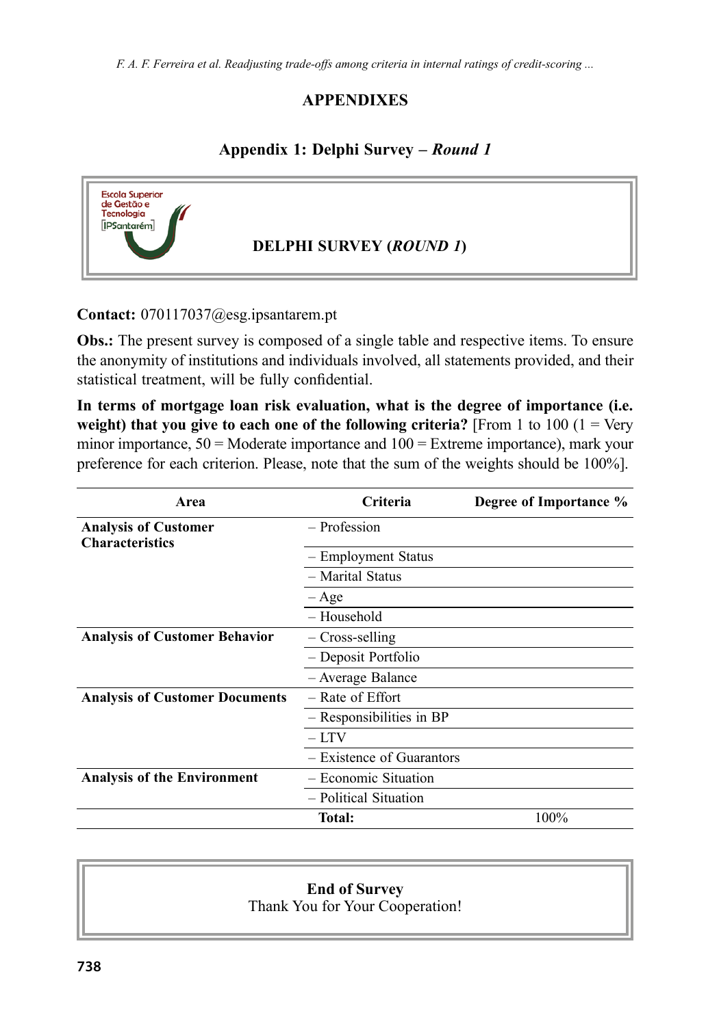*F. A. F. Ferreira et al. Readjusting trade-offs among criteria in internal ratings of credit-scoring ...*

### **APPENDIXES**

### **Appendix 1: Delphi Survey** *– Round 1*



#### **Contact:** [070117037@esg.ipsantarem.pt](mailto:070117037@esg.ipsantarem.pt)

**Obs.:** The present survey is composed of a single table and respective items. To ensure the anonymity of institutions and individuals involved, all statements provided, and their statistical treatment, will be fully confidential.

**In terms of mortgage loan risk evaluation, what is the degree of importance (i.e. weight) that you give to each one of the following criteria?** [From 1 to  $100 (1 = \text{Very})$ minor importance, 50 = Moderate importance and 100 = Extreme importance), mark your preference for each criterion. Please, note that the sum of the weights should be 100%].

| Area                                                  | <b>Criteria</b>           | Degree of Importance % |
|-------------------------------------------------------|---------------------------|------------------------|
| <b>Analysis of Customer</b><br><b>Characteristics</b> | - Profession              |                        |
|                                                       | - Employment Status       |                        |
|                                                       | - Marital Status          |                        |
|                                                       | – Age                     |                        |
|                                                       | – Household               |                        |
| <b>Analysis of Customer Behavior</b>                  | – Cross-selling           |                        |
|                                                       | - Deposit Portfolio       |                        |
|                                                       | - Average Balance         |                        |
| <b>Analysis of Customer Documents</b>                 | – Rate of Effort          |                        |
|                                                       | - Responsibilities in BP  |                        |
|                                                       | $-1$ TV                   |                        |
|                                                       | - Existence of Guarantors |                        |
| <b>Analysis of the Environment</b>                    | - Economic Situation      |                        |
|                                                       | - Political Situation     |                        |
|                                                       | Total:                    | 100%                   |

#### **End of Survey**

Thank You for Your Cooperation!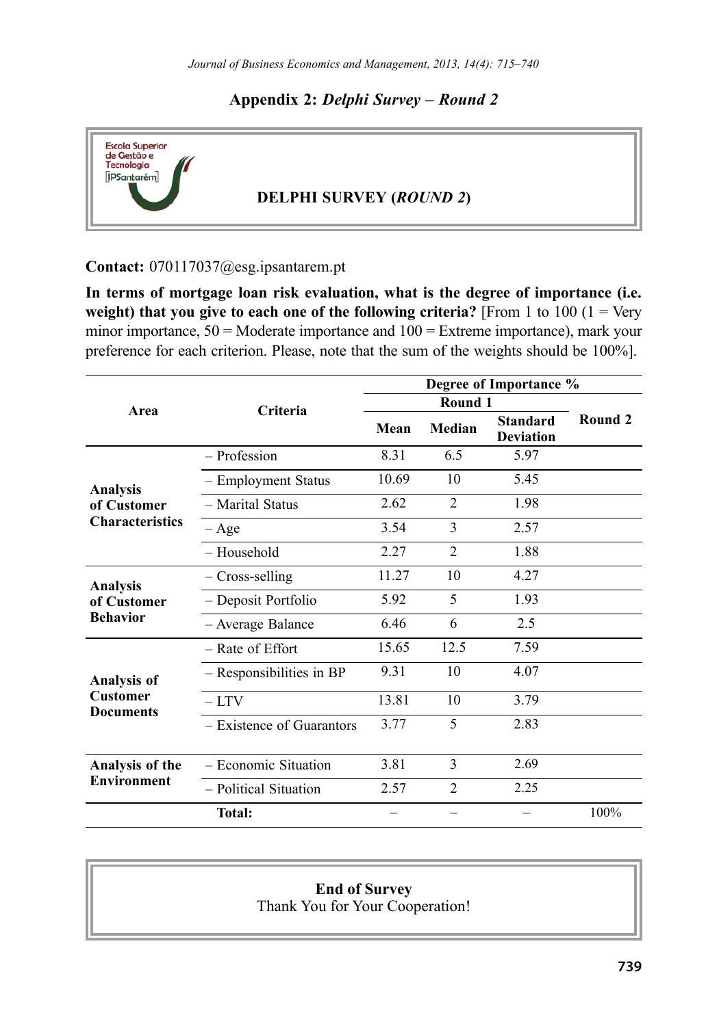#### **Appendix 2:** *Delphi Survey – Round 2*



#### **Contact:** [070117037@esg.ipsantarem.pt](mailto:070117037@esg.ipsantarem.pt)

**In terms of mortgage loan risk evaluation, what is the degree of importance (i.e. weight) that you give to each one of the following criteria?** [From 1 to 100  $(1 = \text{Very})$ minor importance, 50 = Moderate importance and 100 = Extreme importance), mark your preference for each criterion. Please, note that the sum of the weights should be 100%].

|                             | Degree of Importance % |                |                                     |         |
|-----------------------------|------------------------|----------------|-------------------------------------|---------|
|                             | Round 1                |                |                                     |         |
|                             | Mean                   | Median         | <b>Standard</b><br><b>Deviation</b> | Round 2 |
| - Profession                | 8.31                   | 6.5            | 5.97                                |         |
| - Employment Status         | 10.69                  | 10             | 5.45                                |         |
| - Marital Status            | 2.62                   | $\mathfrak{D}$ | 1.98                                |         |
| – Age                       | 3.54                   | 3              | 2.57                                |         |
| - Household                 | 2.27                   | $\mathfrak{D}$ | 1.88                                |         |
| - Cross-selling             | 11.27                  | 10             | 4.27                                |         |
| - Deposit Portfolio         | 5.92                   | 5              | 1.93                                |         |
| - Average Balance           | 6.46                   | 6              | 2.5                                 |         |
| - Rate of Effort            | 15.65                  | 12.5           | 7.59                                |         |
| - Responsibilities in BP    | 9.31                   | 10             | 4.07                                |         |
| $-1$ TV                     | 13.81                  | 10             | 3.79                                |         |
| $-$ Existence of Guarantors | 3.77                   | 5              | 2.83                                |         |
| - Economic Situation        | 3.81                   | 3              | 2.69                                |         |
| - Political Situation       | 2.57                   | $\mathfrak{D}$ | 2.25                                |         |
| <b>Total:</b>               |                        |                |                                     | 100%    |
|                             | <b>Criteria</b>        |                |                                     |         |

#### **End of Survey**

Thank You for Your Cooperation!